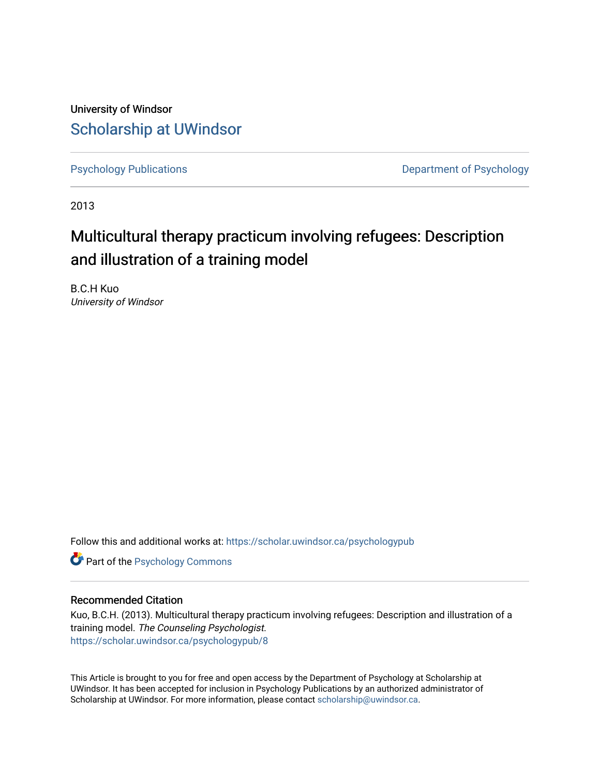University of Windsor [Scholarship at UWindsor](https://scholar.uwindsor.ca/) 

[Psychology Publications](https://scholar.uwindsor.ca/psychologypub) **Department of Psychology** 

2013

# Multicultural therapy practicum involving refugees: Description and illustration of a training model

B.C.H Kuo University of Windsor

Follow this and additional works at: [https://scholar.uwindsor.ca/psychologypub](https://scholar.uwindsor.ca/psychologypub?utm_source=scholar.uwindsor.ca%2Fpsychologypub%2F8&utm_medium=PDF&utm_campaign=PDFCoverPages) 

**Part of the Psychology Commons** 

## Recommended Citation

Kuo, B.C.H. (2013). Multicultural therapy practicum involving refugees: Description and illustration of a training model. The Counseling Psychologist. [https://scholar.uwindsor.ca/psychologypub/8](https://scholar.uwindsor.ca/psychologypub/8?utm_source=scholar.uwindsor.ca%2Fpsychologypub%2F8&utm_medium=PDF&utm_campaign=PDFCoverPages) 

This Article is brought to you for free and open access by the Department of Psychology at Scholarship at UWindsor. It has been accepted for inclusion in Psychology Publications by an authorized administrator of Scholarship at UWindsor. For more information, please contact [scholarship@uwindsor.ca.](mailto:scholarship@uwindsor.ca)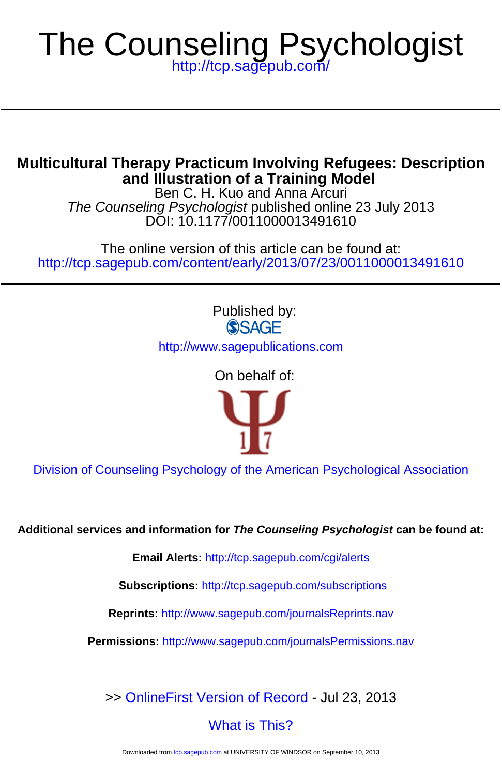# <http://tcp.sagepub.com/> The Counseling Psychologist

# **and Illustration of a Training Model Multicultural Therapy Practicum Involving Refugees: Description**

DOI: 10.1177/0011000013491610 The Counseling Psychologist published online 23 July 2013 Ben C. H. Kuo and Anna Arcuri

<http://tcp.sagepub.com/content/early/2013/07/23/0011000013491610> The online version of this article can be found at:

> Published by:<br>
> SAGE <http://www.sagepublications.com>

> > On behalf of:



[Division of Counseling Psychology of the American Psychological Association](http://www.div17.org)

**Additional services and information for The Counseling Psychologist can be found at:**

**Email Alerts:** <http://tcp.sagepub.com/cgi/alerts>

**Subscriptions:** <http://tcp.sagepub.com/subscriptions>

**Reprints:** <http://www.sagepub.com/journalsReprints.nav>

**Permissions:** <http://www.sagepub.com/journalsPermissions.nav>

>> [OnlineFirst Version of Record -](http://tcp.sagepub.com/content/early/2013/07/23/0011000013491610.full.pdf) Jul 23, 2013

# [What is This?](http://online.sagepub.com/site/sphelp/vorhelp.xhtml)

Downloaded from [tcp.sagepub.com](http://tcp.sagepub.com/) at UNIVERSITY OF WINDSOR on September 10, 2013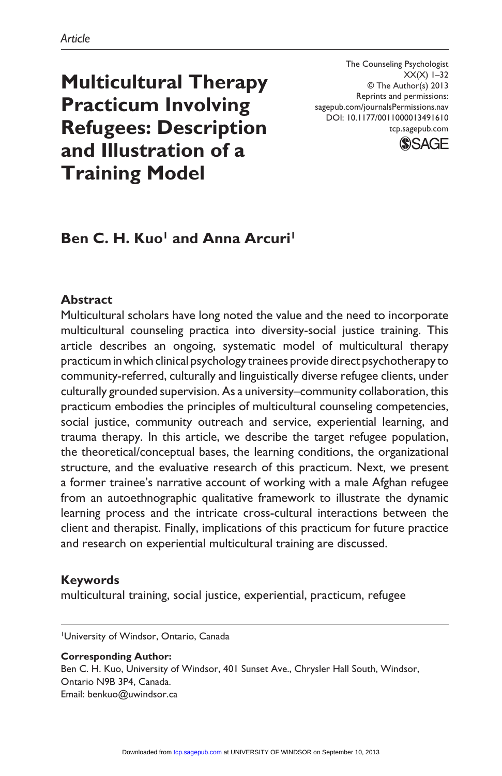**Multicultural Therapy Practicum Involving Refugees: Description and Illustration of a Training Model**

The Counseling Psychologist XX(X) 1–32 © The Author(s) 2013 Reprints and permissions: sagepub.com/journalsPermissions.nav DOI: 10.1177/0011000013491610 tcp.sagepub.com



## **Ben C. H. Kuo<sup>1</sup> and Anna Arcuri<sup>1</sup>**

#### **Abstract**

Multicultural scholars have long noted the value and the need to incorporate multicultural counseling practica into diversity-social justice training. This article describes an ongoing, systematic model of multicultural therapy practicum in which clinical psychology trainees provide direct psychotherapy to community-referred, culturally and linguistically diverse refugee clients, under culturally grounded supervision. As a university–community collaboration, this practicum embodies the principles of multicultural counseling competencies, social justice, community outreach and service, experiential learning, and trauma therapy. In this article, we describe the target refugee population, the theoretical/conceptual bases, the learning conditions, the organizational structure, and the evaluative research of this practicum. Next, we present a former trainee's narrative account of working with a male Afghan refugee from an autoethnographic qualitative framework to illustrate the dynamic learning process and the intricate cross-cultural interactions between the client and therapist. Finally, implications of this practicum for future practice and research on experiential multicultural training are discussed.

#### **Keywords**

multicultural training, social justice, experiential, practicum, refugee

1University of Windsor, Ontario, Canada

#### **Corresponding Author:**

Ben C. H. Kuo, University of Windsor, 401 Sunset Ave., Chrysler Hall South, Windsor, Ontario N9B 3P4, Canada. Email: benkuo@uwindsor.ca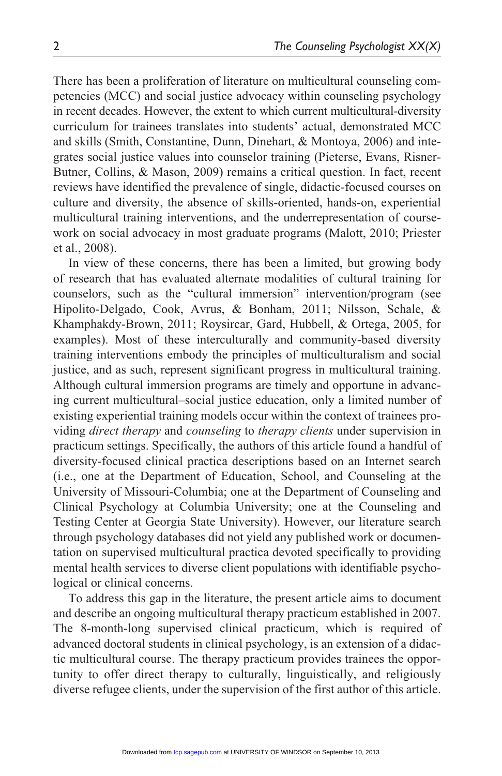There has been a proliferation of literature on multicultural counseling competencies (MCC) and social justice advocacy within counseling psychology in recent decades. However, the extent to which current multicultural-diversity curriculum for trainees translates into students' actual, demonstrated MCC and skills (Smith, Constantine, Dunn, Dinehart, & Montoya, 2006) and integrates social justice values into counselor training (Pieterse, Evans, Risner-Butner, Collins, & Mason, 2009) remains a critical question. In fact, recent reviews have identified the prevalence of single, didactic-focused courses on culture and diversity, the absence of skills-oriented, hands-on, experiential multicultural training interventions, and the underrepresentation of coursework on social advocacy in most graduate programs (Malott, 2010; Priester et al., 2008).

In view of these concerns, there has been a limited, but growing body of research that has evaluated alternate modalities of cultural training for counselors, such as the "cultural immersion" intervention/program (see Hipolito-Delgado, Cook, Avrus, & Bonham, 2011; Nilsson, Schale, & Khamphakdy-Brown, 2011; Roysircar, Gard, Hubbell, & Ortega, 2005, for examples). Most of these interculturally and community-based diversity training interventions embody the principles of multiculturalism and social justice, and as such, represent significant progress in multicultural training. Although cultural immersion programs are timely and opportune in advancing current multicultural–social justice education, only a limited number of existing experiential training models occur within the context of trainees providing *direct therapy* and *counseling* to *therapy clients* under supervision in practicum settings. Specifically, the authors of this article found a handful of diversity-focused clinical practica descriptions based on an Internet search (i.e., one at the Department of Education, School, and Counseling at the University of Missouri-Columbia; one at the Department of Counseling and Clinical Psychology at Columbia University; one at the Counseling and Testing Center at Georgia State University). However, our literature search through psychology databases did not yield any published work or documentation on supervised multicultural practica devoted specifically to providing mental health services to diverse client populations with identifiable psychological or clinical concerns.

To address this gap in the literature, the present article aims to document and describe an ongoing multicultural therapy practicum established in 2007. The 8-month-long supervised clinical practicum, which is required of advanced doctoral students in clinical psychology, is an extension of a didactic multicultural course. The therapy practicum provides trainees the opportunity to offer direct therapy to culturally, linguistically, and religiously diverse refugee clients, under the supervision of the first author of this article.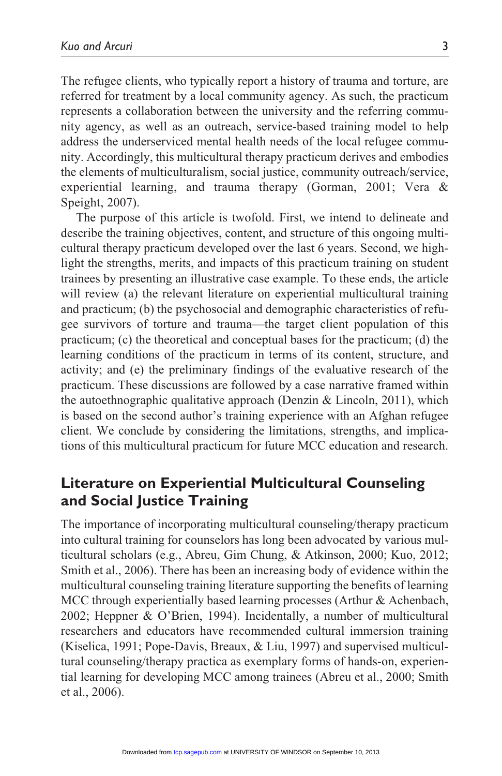The refugee clients, who typically report a history of trauma and torture, are referred for treatment by a local community agency. As such, the practicum represents a collaboration between the university and the referring community agency, as well as an outreach, service-based training model to help address the underserviced mental health needs of the local refugee community. Accordingly, this multicultural therapy practicum derives and embodies the elements of multiculturalism, social justice, community outreach/service, experiential learning, and trauma therapy (Gorman, 2001; Vera & Speight, 2007).

The purpose of this article is twofold. First, we intend to delineate and describe the training objectives, content, and structure of this ongoing multicultural therapy practicum developed over the last 6 years. Second, we highlight the strengths, merits, and impacts of this practicum training on student trainees by presenting an illustrative case example. To these ends, the article will review (a) the relevant literature on experiential multicultural training and practicum; (b) the psychosocial and demographic characteristics of refugee survivors of torture and trauma—the target client population of this practicum; (c) the theoretical and conceptual bases for the practicum; (d) the learning conditions of the practicum in terms of its content, structure, and activity; and (e) the preliminary findings of the evaluative research of the practicum. These discussions are followed by a case narrative framed within the autoethnographic qualitative approach (Denzin & Lincoln, 2011), which is based on the second author's training experience with an Afghan refugee client. We conclude by considering the limitations, strengths, and implications of this multicultural practicum for future MCC education and research.

## **Literature on Experiential Multicultural Counseling and Social Justice Training**

The importance of incorporating multicultural counseling/therapy practicum into cultural training for counselors has long been advocated by various multicultural scholars (e.g., Abreu, Gim Chung, & Atkinson, 2000; Kuo, 2012; Smith et al., 2006). There has been an increasing body of evidence within the multicultural counseling training literature supporting the benefits of learning MCC through experientially based learning processes (Arthur & Achenbach, 2002; Heppner & O'Brien, 1994). Incidentally, a number of multicultural researchers and educators have recommended cultural immersion training (Kiselica, 1991; Pope-Davis, Breaux, & Liu, 1997) and supervised multicultural counseling/therapy practica as exemplary forms of hands-on, experiential learning for developing MCC among trainees (Abreu et al., 2000; Smith et al., 2006).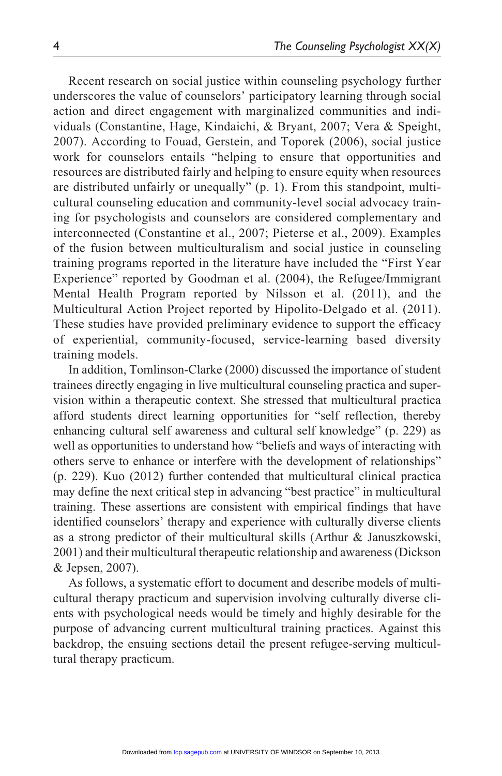Recent research on social justice within counseling psychology further underscores the value of counselors' participatory learning through social action and direct engagement with marginalized communities and individuals (Constantine, Hage, Kindaichi, & Bryant, 2007; Vera & Speight, 2007). According to Fouad, Gerstein, and Toporek (2006), social justice work for counselors entails "helping to ensure that opportunities and resources are distributed fairly and helping to ensure equity when resources are distributed unfairly or unequally" (p. 1). From this standpoint, multicultural counseling education and community-level social advocacy training for psychologists and counselors are considered complementary and interconnected (Constantine et al., 2007; Pieterse et al., 2009). Examples of the fusion between multiculturalism and social justice in counseling training programs reported in the literature have included the "First Year Experience" reported by Goodman et al. (2004), the Refugee/Immigrant Mental Health Program reported by Nilsson et al. (2011), and the Multicultural Action Project reported by Hipolito-Delgado et al. (2011). These studies have provided preliminary evidence to support the efficacy of experiential, community-focused, service-learning based diversity training models.

In addition, Tomlinson-Clarke (2000) discussed the importance of student trainees directly engaging in live multicultural counseling practica and supervision within a therapeutic context. She stressed that multicultural practica afford students direct learning opportunities for "self reflection, thereby enhancing cultural self awareness and cultural self knowledge" (p. 229) as well as opportunities to understand how "beliefs and ways of interacting with others serve to enhance or interfere with the development of relationships" (p. 229). Kuo (2012) further contended that multicultural clinical practica may define the next critical step in advancing "best practice" in multicultural training. These assertions are consistent with empirical findings that have identified counselors' therapy and experience with culturally diverse clients as a strong predictor of their multicultural skills (Arthur & Januszkowski, 2001) and their multicultural therapeutic relationship and awareness (Dickson & Jepsen, 2007).

As follows, a systematic effort to document and describe models of multicultural therapy practicum and supervision involving culturally diverse clients with psychological needs would be timely and highly desirable for the purpose of advancing current multicultural training practices. Against this backdrop, the ensuing sections detail the present refugee-serving multicultural therapy practicum.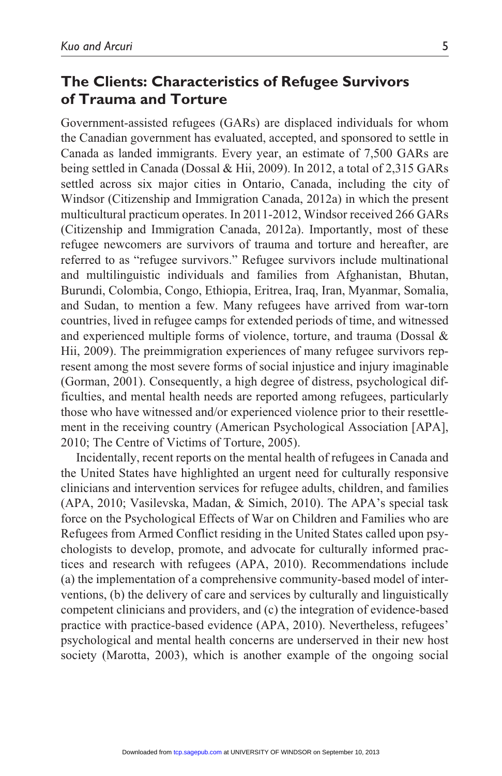## **The Clients: Characteristics of Refugee Survivors of Trauma and Torture**

Government-assisted refugees (GARs) are displaced individuals for whom the Canadian government has evaluated, accepted, and sponsored to settle in Canada as landed immigrants. Every year, an estimate of 7,500 GARs are being settled in Canada (Dossal & Hii, 2009). In 2012, a total of 2,315 GARs settled across six major cities in Ontario, Canada, including the city of Windsor (Citizenship and Immigration Canada, 2012a) in which the present multicultural practicum operates. In 2011-2012, Windsor received 266 GARs (Citizenship and Immigration Canada, 2012a). Importantly, most of these refugee newcomers are survivors of trauma and torture and hereafter, are referred to as "refugee survivors." Refugee survivors include multinational and multilinguistic individuals and families from Afghanistan, Bhutan, Burundi, Colombia, Congo, Ethiopia, Eritrea, Iraq, Iran, Myanmar, Somalia, and Sudan, to mention a few. Many refugees have arrived from war-torn countries, lived in refugee camps for extended periods of time, and witnessed and experienced multiple forms of violence, torture, and trauma (Dossal & Hii, 2009). The preimmigration experiences of many refugee survivors represent among the most severe forms of social injustice and injury imaginable (Gorman, 2001). Consequently, a high degree of distress, psychological difficulties, and mental health needs are reported among refugees, particularly those who have witnessed and/or experienced violence prior to their resettlement in the receiving country (American Psychological Association [APA], 2010; The Centre of Victims of Torture, 2005).

Incidentally, recent reports on the mental health of refugees in Canada and the United States have highlighted an urgent need for culturally responsive clinicians and intervention services for refugee adults, children, and families (APA, 2010; Vasilevska, Madan, & Simich, 2010). The APA's special task force on the Psychological Effects of War on Children and Families who are Refugees from Armed Conflict residing in the United States called upon psychologists to develop, promote, and advocate for culturally informed practices and research with refugees (APA, 2010). Recommendations include (a) the implementation of a comprehensive community-based model of interventions, (b) the delivery of care and services by culturally and linguistically competent clinicians and providers, and (c) the integration of evidence-based practice with practice-based evidence (APA, 2010). Nevertheless, refugees' psychological and mental health concerns are underserved in their new host society (Marotta, 2003), which is another example of the ongoing social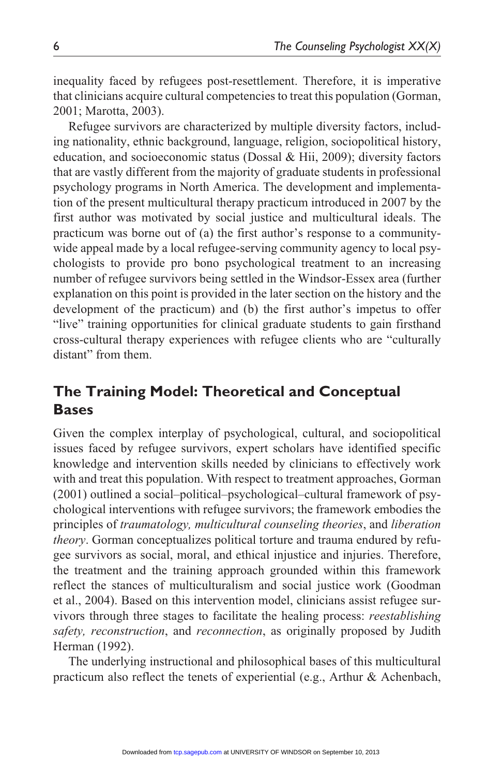inequality faced by refugees post-resettlement. Therefore, it is imperative that clinicians acquire cultural competencies to treat this population (Gorman, 2001; Marotta, 2003).

Refugee survivors are characterized by multiple diversity factors, including nationality, ethnic background, language, religion, sociopolitical history, education, and socioeconomic status (Dossal & Hii, 2009); diversity factors that are vastly different from the majority of graduate students in professional psychology programs in North America. The development and implementation of the present multicultural therapy practicum introduced in 2007 by the first author was motivated by social justice and multicultural ideals. The practicum was borne out of (a) the first author's response to a communitywide appeal made by a local refugee-serving community agency to local psychologists to provide pro bono psychological treatment to an increasing number of refugee survivors being settled in the Windsor-Essex area (further explanation on this point is provided in the later section on the history and the development of the practicum) and (b) the first author's impetus to offer "live" training opportunities for clinical graduate students to gain firsthand cross-cultural therapy experiences with refugee clients who are "culturally distant" from them.

## **The Training Model: Theoretical and Conceptual Bases**

Given the complex interplay of psychological, cultural, and sociopolitical issues faced by refugee survivors, expert scholars have identified specific knowledge and intervention skills needed by clinicians to effectively work with and treat this population. With respect to treatment approaches, Gorman (2001) outlined a social–political–psychological–cultural framework of psychological interventions with refugee survivors; the framework embodies the principles of *traumatology, multicultural counseling theories*, and *liberation theory*. Gorman conceptualizes political torture and trauma endured by refugee survivors as social, moral, and ethical injustice and injuries. Therefore, the treatment and the training approach grounded within this framework reflect the stances of multiculturalism and social justice work (Goodman et al., 2004). Based on this intervention model, clinicians assist refugee survivors through three stages to facilitate the healing process: *reestablishing safety, reconstruction*, and *reconnection*, as originally proposed by Judith Herman (1992).

The underlying instructional and philosophical bases of this multicultural practicum also reflect the tenets of experiential (e.g., Arthur & Achenbach,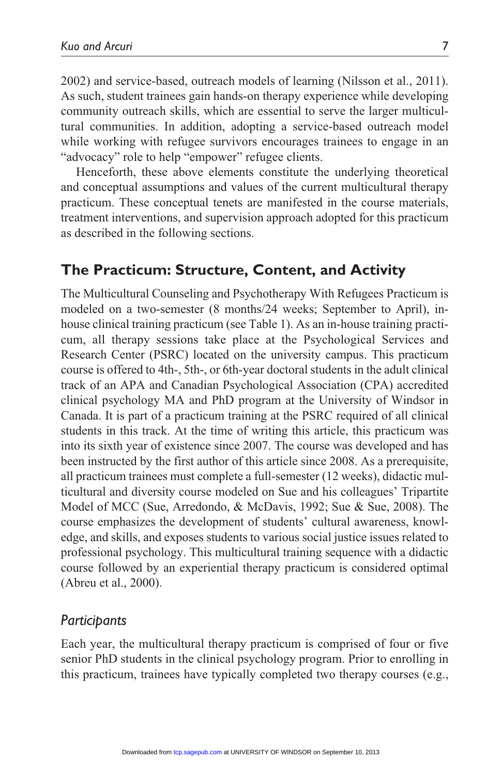2002) and service-based, outreach models of learning (Nilsson et al., 2011). As such, student trainees gain hands-on therapy experience while developing community outreach skills, which are essential to serve the larger multicultural communities. In addition, adopting a service-based outreach model while working with refugee survivors encourages trainees to engage in an "advocacy" role to help "empower" refugee clients.

Henceforth, these above elements constitute the underlying theoretical and conceptual assumptions and values of the current multicultural therapy practicum. These conceptual tenets are manifested in the course materials, treatment interventions, and supervision approach adopted for this practicum as described in the following sections.

## **The Practicum: Structure, Content, and Activity**

The Multicultural Counseling and Psychotherapy With Refugees Practicum is modeled on a two-semester (8 months/24 weeks; September to April), inhouse clinical training practicum (see Table 1). As an in-house training practicum, all therapy sessions take place at the Psychological Services and Research Center (PSRC) located on the university campus. This practicum course is offered to 4th-, 5th-, or 6th-year doctoral students in the adult clinical track of an APA and Canadian Psychological Association (CPA) accredited clinical psychology MA and PhD program at the University of Windsor in Canada. It is part of a practicum training at the PSRC required of all clinical students in this track. At the time of writing this article, this practicum was into its sixth year of existence since 2007. The course was developed and has been instructed by the first author of this article since 2008. As a prerequisite, all practicum trainees must complete a full-semester (12 weeks), didactic multicultural and diversity course modeled on Sue and his colleagues' Tripartite Model of MCC (Sue, Arredondo, & McDavis, 1992; Sue & Sue, 2008). The course emphasizes the development of students' cultural awareness, knowledge, and skills, and exposes students to various social justice issues related to professional psychology. This multicultural training sequence with a didactic course followed by an experiential therapy practicum is considered optimal (Abreu et al., 2000).

#### *Participants*

Each year, the multicultural therapy practicum is comprised of four or five senior PhD students in the clinical psychology program. Prior to enrolling in this practicum, trainees have typically completed two therapy courses (e.g.,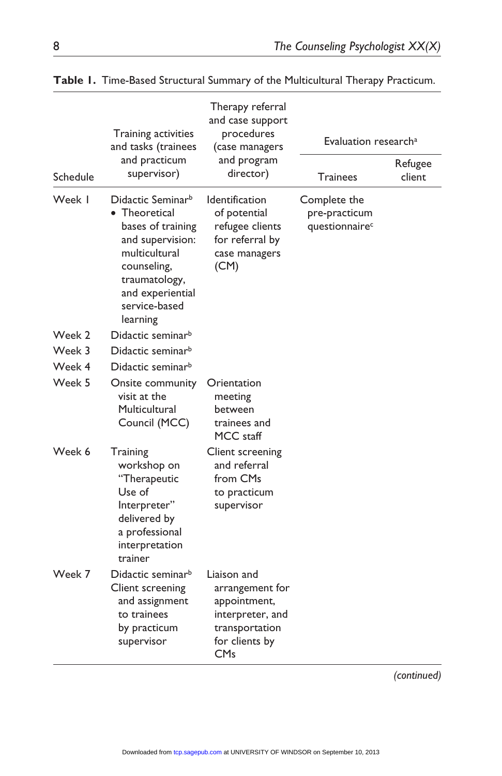| Schedule | Training activities<br>and tasks (trainees<br>and practicum<br>supervisor)                                                                                                                        | Therapy referral<br>and case support<br>procedures<br>(case managers<br>and program<br>director)                     | Evaluation research <sup>a</sup>                            |                   |
|----------|---------------------------------------------------------------------------------------------------------------------------------------------------------------------------------------------------|----------------------------------------------------------------------------------------------------------------------|-------------------------------------------------------------|-------------------|
|          |                                                                                                                                                                                                   |                                                                                                                      | <b>Trainees</b>                                             | Refugee<br>client |
| Week I   | Didactic Seminar <sup>b</sup><br>$\bullet$ Theoretical<br>bases of training<br>and supervision:<br>multicultural<br>counseling,<br>traumatology,<br>and experiential<br>service-based<br>learning | <b>Identification</b><br>of potential<br>refugee clients<br>for referral by<br>case managers<br>(CM)                 | Complete the<br>pre-practicum<br>questionnaire <sup>c</sup> |                   |
| Week 2   | Didactic seminar <sup>b</sup>                                                                                                                                                                     |                                                                                                                      |                                                             |                   |
| Week 3   | Didactic seminar <sup>b</sup>                                                                                                                                                                     |                                                                                                                      |                                                             |                   |
| Week 4   | Didactic seminar <sup>b</sup>                                                                                                                                                                     |                                                                                                                      |                                                             |                   |
| Week 5   | Onsite community<br>visit at the<br>Multicultural<br>Council (MCC)                                                                                                                                | Orientation<br>meeting<br>between<br>trainees and<br>MCC staff                                                       |                                                             |                   |
| Week 6   | Training<br>workshop on<br>"Therapeutic<br>Use of<br>Interpreter"<br>delivered by<br>a professional<br>interpretation<br>trainer                                                                  | Client screening<br>and referral<br>from CMs<br>to practicum<br>supervisor                                           |                                                             |                   |
| Week 7   | Didactic seminar <sup>b</sup><br>Client screening<br>and assignment<br>to trainees<br>by practicum<br>supervisor                                                                                  | Liaison and<br>arrangement for<br>appointment,<br>interpreter, and<br>transportation<br>for clients by<br><b>CMs</b> |                                                             |                   |

**Table 1.** Time-Based Structural Summary of the Multicultural Therapy Practicum.

*(continued)*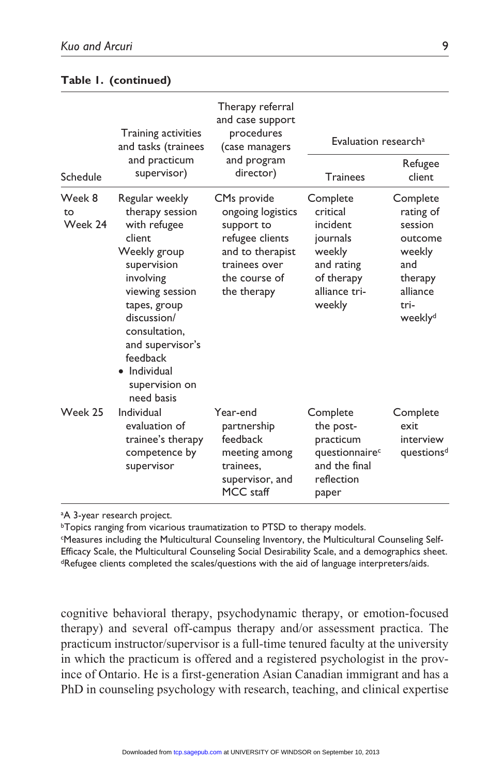| Schedule                | <b>Training activities</b><br>and tasks (trainees<br>and practicum<br>supervisor)                                                                                                                                                                          | Therapy referral<br>and case support<br>procedures<br>(case managers<br>and program<br>director)                                                   | Evaluation research <sup>a</sup><br><b>Trainees</b>                                                           | Refugee<br>client                                                                                                  |
|-------------------------|------------------------------------------------------------------------------------------------------------------------------------------------------------------------------------------------------------------------------------------------------------|----------------------------------------------------------------------------------------------------------------------------------------------------|---------------------------------------------------------------------------------------------------------------|--------------------------------------------------------------------------------------------------------------------|
| Week 8<br>tο<br>Week 24 | Regular weekly<br>therapy session<br>with refugee<br>client<br>Weekly group<br>supervision<br>involving<br>viewing session<br>tapes, group<br>discussion/<br>consultation,<br>and supervisor's<br>feedback<br>• Individual<br>supervision on<br>need basis | CM <sub>s</sub> provide<br>ongoing logistics<br>support to<br>refugee clients<br>and to therapist<br>trainees over<br>the course of<br>the therapy | Complete<br>critical<br>incident<br>journals<br>weekly<br>and rating<br>of therapy<br>alliance tri-<br>weekly | Complete<br>rating of<br>session<br>outcome<br>weekly<br>and<br>therapy<br>alliance<br>tri-<br>weekly <sup>d</sup> |
| Week 25                 | Individual<br>evaluation of<br>trainee's therapy<br>competence by<br>supervisor                                                                                                                                                                            | Year-end<br>partnership<br>feedback<br>meeting among<br>trainees.<br>supervisor, and<br>MCC staff                                                  | Complete<br>the post-<br>practicum<br>questionnairec<br>and the final<br>reflection<br>paper                  | Complete<br>exit<br>interview<br>questions <sup>d</sup>                                                            |

#### **Table 1. (continued)**

<sup>a</sup>A 3-year research project.

**bTopics ranging from vicarious traumatization to PTSD to therapy models.** 

cMeasures including the Multicultural Counseling Inventory, the Multicultural Counseling Self-Efficacy Scale, the Multicultural Counseling Social Desirability Scale, and a demographics sheet. dRefugee clients completed the scales/questions with the aid of language interpreters/aids.

cognitive behavioral therapy, psychodynamic therapy, or emotion-focused therapy) and several off-campus therapy and/or assessment practica. The practicum instructor/supervisor is a full-time tenured faculty at the university in which the practicum is offered and a registered psychologist in the province of Ontario. He is a first-generation Asian Canadian immigrant and has a PhD in counseling psychology with research, teaching, and clinical expertise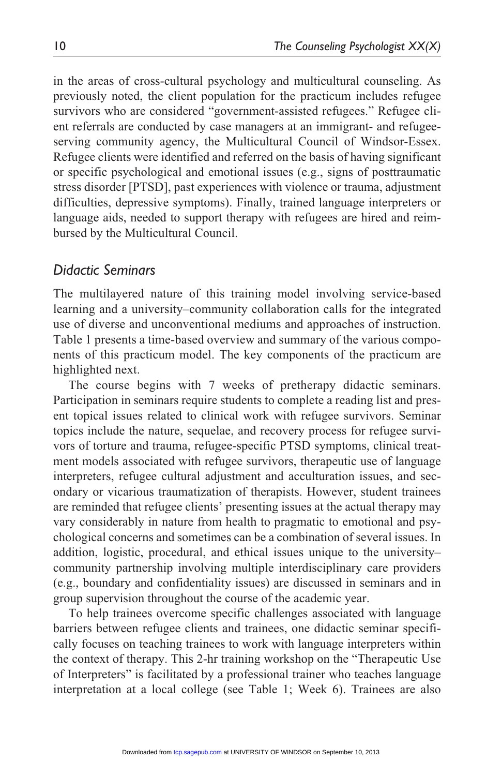in the areas of cross-cultural psychology and multicultural counseling. As previously noted, the client population for the practicum includes refugee survivors who are considered "government-assisted refugees." Refugee client referrals are conducted by case managers at an immigrant- and refugeeserving community agency, the Multicultural Council of Windsor-Essex. Refugee clients were identified and referred on the basis of having significant or specific psychological and emotional issues (e.g., signs of posttraumatic stress disorder [PTSD], past experiences with violence or trauma, adjustment difficulties, depressive symptoms). Finally, trained language interpreters or language aids, needed to support therapy with refugees are hired and reimbursed by the Multicultural Council.

#### *Didactic Seminars*

The multilayered nature of this training model involving service-based learning and a university–community collaboration calls for the integrated use of diverse and unconventional mediums and approaches of instruction. Table 1 presents a time-based overview and summary of the various components of this practicum model. The key components of the practicum are highlighted next.

The course begins with 7 weeks of pretherapy didactic seminars. Participation in seminars require students to complete a reading list and present topical issues related to clinical work with refugee survivors. Seminar topics include the nature, sequelae, and recovery process for refugee survivors of torture and trauma, refugee-specific PTSD symptoms, clinical treatment models associated with refugee survivors, therapeutic use of language interpreters, refugee cultural adjustment and acculturation issues, and secondary or vicarious traumatization of therapists. However, student trainees are reminded that refugee clients' presenting issues at the actual therapy may vary considerably in nature from health to pragmatic to emotional and psychological concerns and sometimes can be a combination of several issues. In addition, logistic, procedural, and ethical issues unique to the university– community partnership involving multiple interdisciplinary care providers (e.g., boundary and confidentiality issues) are discussed in seminars and in group supervision throughout the course of the academic year.

To help trainees overcome specific challenges associated with language barriers between refugee clients and trainees, one didactic seminar specifically focuses on teaching trainees to work with language interpreters within the context of therapy. This 2-hr training workshop on the "Therapeutic Use of Interpreters" is facilitated by a professional trainer who teaches language interpretation at a local college (see Table 1; Week 6). Trainees are also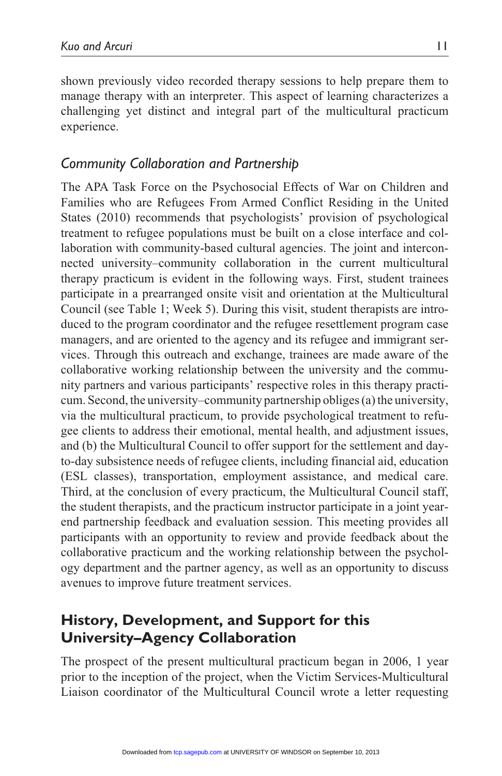shown previously video recorded therapy sessions to help prepare them to manage therapy with an interpreter. This aspect of learning characterizes a challenging yet distinct and integral part of the multicultural practicum experience.

## *Community Collaboration and Partnership*

The APA Task Force on the Psychosocial Effects of War on Children and Families who are Refugees From Armed Conflict Residing in the United States (2010) recommends that psychologists' provision of psychological treatment to refugee populations must be built on a close interface and collaboration with community-based cultural agencies. The joint and interconnected university–community collaboration in the current multicultural therapy practicum is evident in the following ways. First, student trainees participate in a prearranged onsite visit and orientation at the Multicultural Council (see Table 1; Week 5). During this visit, student therapists are introduced to the program coordinator and the refugee resettlement program case managers, and are oriented to the agency and its refugee and immigrant services. Through this outreach and exchange, trainees are made aware of the collaborative working relationship between the university and the community partners and various participants' respective roles in this therapy practicum. Second, the university–community partnership obliges (a) the university, via the multicultural practicum, to provide psychological treatment to refugee clients to address their emotional, mental health, and adjustment issues, and (b) the Multicultural Council to offer support for the settlement and dayto-day subsistence needs of refugee clients, including financial aid, education (ESL classes), transportation, employment assistance, and medical care. Third, at the conclusion of every practicum, the Multicultural Council staff, the student therapists, and the practicum instructor participate in a joint yearend partnership feedback and evaluation session. This meeting provides all participants with an opportunity to review and provide feedback about the collaborative practicum and the working relationship between the psychology department and the partner agency, as well as an opportunity to discuss avenues to improve future treatment services.

## **History, Development, and Support for this University–Agency Collaboration**

The prospect of the present multicultural practicum began in 2006, 1 year prior to the inception of the project, when the Victim Services-Multicultural Liaison coordinator of the Multicultural Council wrote a letter requesting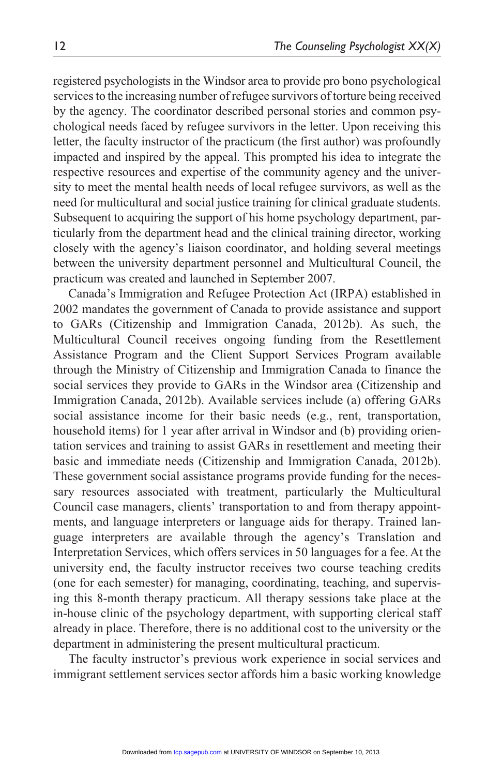registered psychologists in the Windsor area to provide pro bono psychological services to the increasing number of refugee survivors of torture being received by the agency. The coordinator described personal stories and common psychological needs faced by refugee survivors in the letter. Upon receiving this letter, the faculty instructor of the practicum (the first author) was profoundly impacted and inspired by the appeal. This prompted his idea to integrate the respective resources and expertise of the community agency and the university to meet the mental health needs of local refugee survivors, as well as the need for multicultural and social justice training for clinical graduate students. Subsequent to acquiring the support of his home psychology department, particularly from the department head and the clinical training director, working closely with the agency's liaison coordinator, and holding several meetings between the university department personnel and Multicultural Council, the practicum was created and launched in September 2007.

Canada's Immigration and Refugee Protection Act (IRPA) established in 2002 mandates the government of Canada to provide assistance and support to GARs (Citizenship and Immigration Canada, 2012b). As such, the Multicultural Council receives ongoing funding from the Resettlement Assistance Program and the Client Support Services Program available through the Ministry of Citizenship and Immigration Canada to finance the social services they provide to GARs in the Windsor area (Citizenship and Immigration Canada, 2012b). Available services include (a) offering GARs social assistance income for their basic needs (e.g., rent, transportation, household items) for 1 year after arrival in Windsor and (b) providing orientation services and training to assist GARs in resettlement and meeting their basic and immediate needs (Citizenship and Immigration Canada, 2012b). These government social assistance programs provide funding for the necessary resources associated with treatment, particularly the Multicultural Council case managers, clients' transportation to and from therapy appointments, and language interpreters or language aids for therapy. Trained language interpreters are available through the agency's Translation and Interpretation Services, which offers services in 50 languages for a fee. At the university end, the faculty instructor receives two course teaching credits (one for each semester) for managing, coordinating, teaching, and supervising this 8-month therapy practicum. All therapy sessions take place at the in-house clinic of the psychology department, with supporting clerical staff already in place. Therefore, there is no additional cost to the university or the department in administering the present multicultural practicum.

The faculty instructor's previous work experience in social services and immigrant settlement services sector affords him a basic working knowledge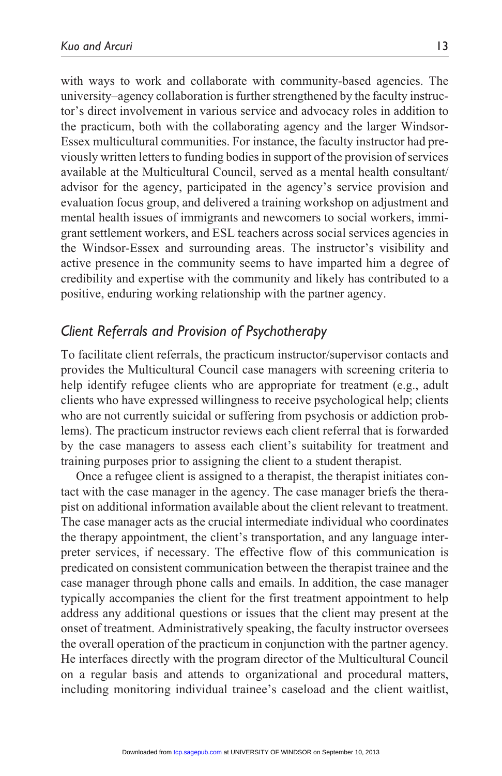with ways to work and collaborate with community-based agencies. The university–agency collaboration is further strengthened by the faculty instructor's direct involvement in various service and advocacy roles in addition to the practicum, both with the collaborating agency and the larger Windsor-Essex multicultural communities. For instance, the faculty instructor had previously written letters to funding bodies in support of the provision of services available at the Multicultural Council, served as a mental health consultant/ advisor for the agency, participated in the agency's service provision and evaluation focus group, and delivered a training workshop on adjustment and mental health issues of immigrants and newcomers to social workers, immigrant settlement workers, and ESL teachers across social services agencies in the Windsor-Essex and surrounding areas. The instructor's visibility and active presence in the community seems to have imparted him a degree of credibility and expertise with the community and likely has contributed to a positive, enduring working relationship with the partner agency.

## *Client Referrals and Provision of Psychotherapy*

To facilitate client referrals, the practicum instructor/supervisor contacts and provides the Multicultural Council case managers with screening criteria to help identify refugee clients who are appropriate for treatment (e.g., adult clients who have expressed willingness to receive psychological help; clients who are not currently suicidal or suffering from psychosis or addiction problems). The practicum instructor reviews each client referral that is forwarded by the case managers to assess each client's suitability for treatment and training purposes prior to assigning the client to a student therapist.

Once a refugee client is assigned to a therapist, the therapist initiates contact with the case manager in the agency. The case manager briefs the therapist on additional information available about the client relevant to treatment. The case manager acts as the crucial intermediate individual who coordinates the therapy appointment, the client's transportation, and any language interpreter services, if necessary. The effective flow of this communication is predicated on consistent communication between the therapist trainee and the case manager through phone calls and emails. In addition, the case manager typically accompanies the client for the first treatment appointment to help address any additional questions or issues that the client may present at the onset of treatment. Administratively speaking, the faculty instructor oversees the overall operation of the practicum in conjunction with the partner agency. He interfaces directly with the program director of the Multicultural Council on a regular basis and attends to organizational and procedural matters, including monitoring individual trainee's caseload and the client waitlist,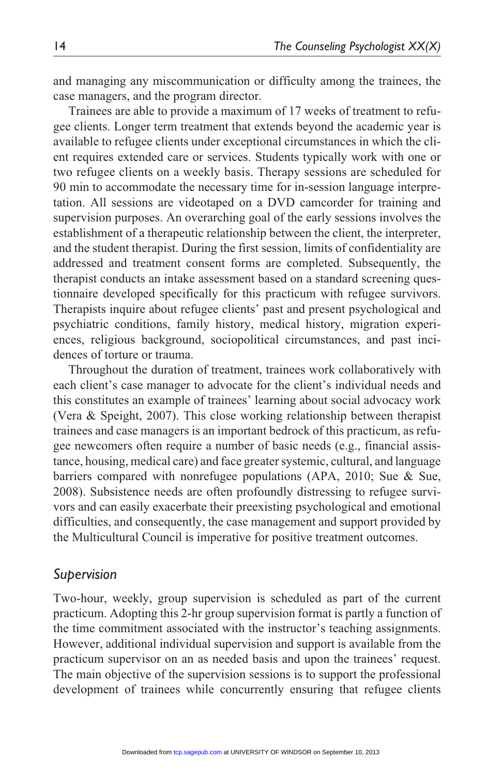and managing any miscommunication or difficulty among the trainees, the case managers, and the program director.

Trainees are able to provide a maximum of 17 weeks of treatment to refugee clients. Longer term treatment that extends beyond the academic year is available to refugee clients under exceptional circumstances in which the client requires extended care or services. Students typically work with one or two refugee clients on a weekly basis. Therapy sessions are scheduled for 90 min to accommodate the necessary time for in-session language interpretation. All sessions are videotaped on a DVD camcorder for training and supervision purposes. An overarching goal of the early sessions involves the establishment of a therapeutic relationship between the client, the interpreter, and the student therapist. During the first session, limits of confidentiality are addressed and treatment consent forms are completed. Subsequently, the therapist conducts an intake assessment based on a standard screening questionnaire developed specifically for this practicum with refugee survivors. Therapists inquire about refugee clients' past and present psychological and psychiatric conditions, family history, medical history, migration experiences, religious background, sociopolitical circumstances, and past incidences of torture or trauma.

Throughout the duration of treatment, trainees work collaboratively with each client's case manager to advocate for the client's individual needs and this constitutes an example of trainees' learning about social advocacy work (Vera & Speight, 2007). This close working relationship between therapist trainees and case managers is an important bedrock of this practicum, as refugee newcomers often require a number of basic needs (e.g., financial assistance, housing, medical care) and face greater systemic, cultural, and language barriers compared with nonrefugee populations (APA, 2010; Sue & Sue, 2008). Subsistence needs are often profoundly distressing to refugee survivors and can easily exacerbate their preexisting psychological and emotional difficulties, and consequently, the case management and support provided by the Multicultural Council is imperative for positive treatment outcomes.

#### *Supervision*

Two-hour, weekly, group supervision is scheduled as part of the current practicum. Adopting this 2-hr group supervision format is partly a function of the time commitment associated with the instructor's teaching assignments. However, additional individual supervision and support is available from the practicum supervisor on an as needed basis and upon the trainees' request. The main objective of the supervision sessions is to support the professional development of trainees while concurrently ensuring that refugee clients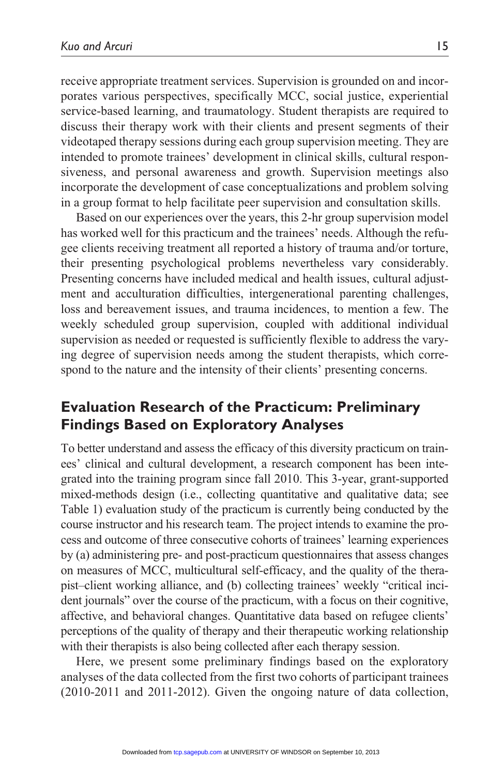receive appropriate treatment services. Supervision is grounded on and incorporates various perspectives, specifically MCC, social justice, experiential service-based learning, and traumatology. Student therapists are required to discuss their therapy work with their clients and present segments of their videotaped therapy sessions during each group supervision meeting. They are intended to promote trainees' development in clinical skills, cultural responsiveness, and personal awareness and growth. Supervision meetings also incorporate the development of case conceptualizations and problem solving in a group format to help facilitate peer supervision and consultation skills.

Based on our experiences over the years, this 2-hr group supervision model has worked well for this practicum and the trainees' needs. Although the refugee clients receiving treatment all reported a history of trauma and/or torture, their presenting psychological problems nevertheless vary considerably. Presenting concerns have included medical and health issues, cultural adjustment and acculturation difficulties, intergenerational parenting challenges, loss and bereavement issues, and trauma incidences, to mention a few. The weekly scheduled group supervision, coupled with additional individual supervision as needed or requested is sufficiently flexible to address the varying degree of supervision needs among the student therapists, which correspond to the nature and the intensity of their clients' presenting concerns.

## **Evaluation Research of the Practicum: Preliminary Findings Based on Exploratory Analyses**

To better understand and assess the efficacy of this diversity practicum on trainees' clinical and cultural development, a research component has been integrated into the training program since fall 2010. This 3-year, grant-supported mixed-methods design (i.e., collecting quantitative and qualitative data; see Table 1) evaluation study of the practicum is currently being conducted by the course instructor and his research team. The project intends to examine the process and outcome of three consecutive cohorts of trainees' learning experiences by (a) administering pre- and post-practicum questionnaires that assess changes on measures of MCC, multicultural self-efficacy, and the quality of the therapist–client working alliance, and (b) collecting trainees' weekly "critical incident journals" over the course of the practicum, with a focus on their cognitive, affective, and behavioral changes. Quantitative data based on refugee clients' perceptions of the quality of therapy and their therapeutic working relationship with their therapists is also being collected after each therapy session.

Here, we present some preliminary findings based on the exploratory analyses of the data collected from the first two cohorts of participant trainees (2010-2011 and 2011-2012). Given the ongoing nature of data collection,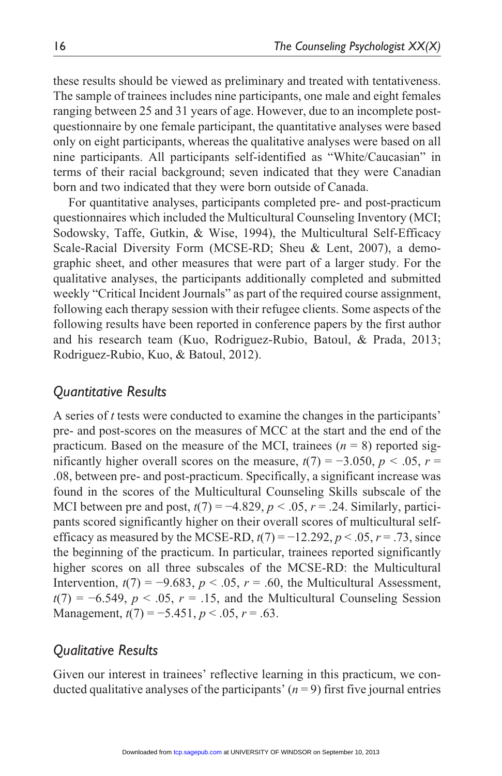these results should be viewed as preliminary and treated with tentativeness. The sample of trainees includes nine participants, one male and eight females ranging between 25 and 31 years of age. However, due to an incomplete postquestionnaire by one female participant, the quantitative analyses were based only on eight participants, whereas the qualitative analyses were based on all nine participants. All participants self-identified as "White/Caucasian" in terms of their racial background; seven indicated that they were Canadian born and two indicated that they were born outside of Canada.

For quantitative analyses, participants completed pre- and post-practicum questionnaires which included the Multicultural Counseling Inventory (MCI; Sodowsky, Taffe, Gutkin, & Wise, 1994), the Multicultural Self-Efficacy Scale-Racial Diversity Form (MCSE-RD; Sheu & Lent, 2007), a demographic sheet, and other measures that were part of a larger study. For the qualitative analyses, the participants additionally completed and submitted weekly "Critical Incident Journals" as part of the required course assignment, following each therapy session with their refugee clients. Some aspects of the following results have been reported in conference papers by the first author and his research team (Kuo, Rodriguez-Rubio, Batoul, & Prada, 2013; Rodriguez-Rubio, Kuo, & Batoul, 2012).

### *Quantitative Results*

A series of *t* tests were conducted to examine the changes in the participants' pre- and post-scores on the measures of MCC at the start and the end of the practicum. Based on the measure of the MCI, trainees  $(n = 8)$  reported significantly higher overall scores on the measure,  $t(7) = -3.050$ ,  $p < .05$ ,  $r =$ .08, between pre- and post-practicum. Specifically, a significant increase was found in the scores of the Multicultural Counseling Skills subscale of the MCI between pre and post,  $t(7) = -4.829$ ,  $p < .05$ ,  $r = .24$ . Similarly, participants scored significantly higher on their overall scores of multicultural selfefficacy as measured by the MCSE-RD,  $t(7) = -12.292$ ,  $p < .05$ ,  $r = .73$ , since the beginning of the practicum. In particular, trainees reported significantly higher scores on all three subscales of the MCSE-RD: the Multicultural Intervention,  $t(7) = -9.683$ ,  $p < .05$ ,  $r = .60$ , the Multicultural Assessment,  $t(7) = -6.549$ ,  $p < .05$ ,  $r = .15$ , and the Multicultural Counseling Session Management,  $t(7) = -5.451$ ,  $p < .05$ ,  $r = .63$ .

### *Qualitative Results*

Given our interest in trainees' reflective learning in this practicum, we conducted qualitative analyses of the participants'  $(n=9)$  first five journal entries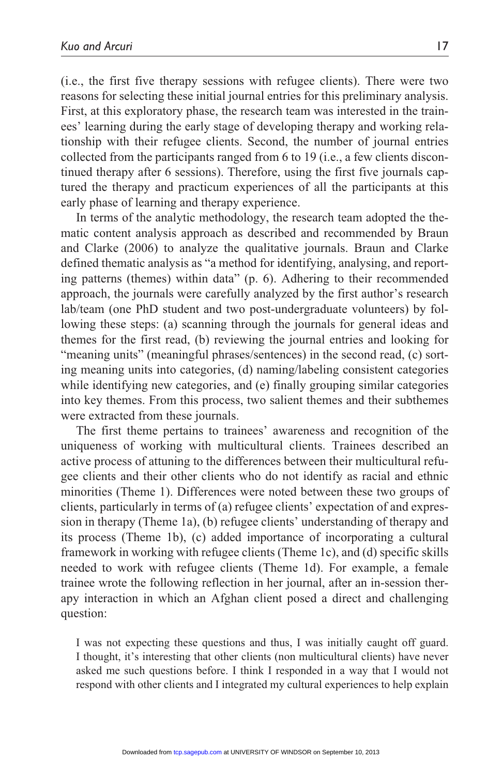(i.e., the first five therapy sessions with refugee clients). There were two reasons for selecting these initial journal entries for this preliminary analysis. First, at this exploratory phase, the research team was interested in the trainees' learning during the early stage of developing therapy and working relationship with their refugee clients. Second, the number of journal entries collected from the participants ranged from 6 to 19 (i.e., a few clients discontinued therapy after 6 sessions). Therefore, using the first five journals captured the therapy and practicum experiences of all the participants at this early phase of learning and therapy experience.

In terms of the analytic methodology, the research team adopted the thematic content analysis approach as described and recommended by Braun and Clarke (2006) to analyze the qualitative journals. Braun and Clarke defined thematic analysis as "a method for identifying, analysing, and reporting patterns (themes) within data" (p. 6). Adhering to their recommended approach, the journals were carefully analyzed by the first author's research lab/team (one PhD student and two post-undergraduate volunteers) by following these steps: (a) scanning through the journals for general ideas and themes for the first read, (b) reviewing the journal entries and looking for "meaning units" (meaningful phrases/sentences) in the second read, (c) sorting meaning units into categories, (d) naming/labeling consistent categories while identifying new categories, and (e) finally grouping similar categories into key themes. From this process, two salient themes and their subthemes were extracted from these journals.

The first theme pertains to trainees' awareness and recognition of the uniqueness of working with multicultural clients. Trainees described an active process of attuning to the differences between their multicultural refugee clients and their other clients who do not identify as racial and ethnic minorities (Theme 1). Differences were noted between these two groups of clients, particularly in terms of (a) refugee clients' expectation of and expression in therapy (Theme 1a), (b) refugee clients' understanding of therapy and its process (Theme 1b), (c) added importance of incorporating a cultural framework in working with refugee clients (Theme 1c), and (d) specific skills needed to work with refugee clients (Theme 1d). For example, a female trainee wrote the following reflection in her journal, after an in-session therapy interaction in which an Afghan client posed a direct and challenging question:

I was not expecting these questions and thus, I was initially caught off guard. I thought, it's interesting that other clients (non multicultural clients) have never asked me such questions before. I think I responded in a way that I would not respond with other clients and I integrated my cultural experiences to help explain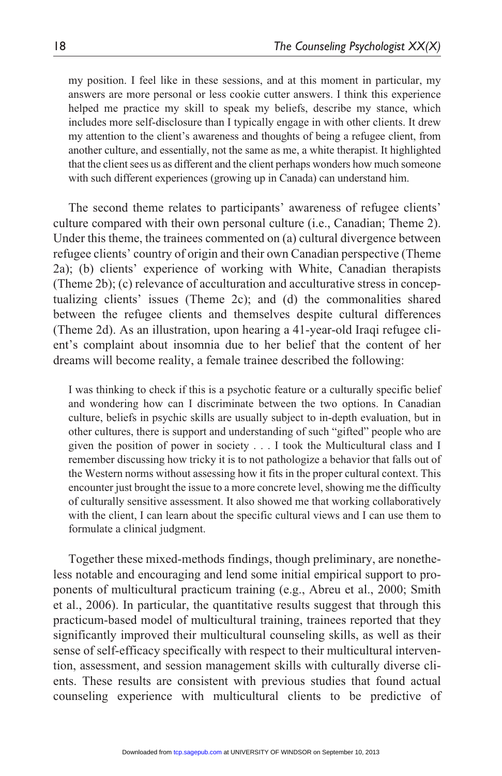my position. I feel like in these sessions, and at this moment in particular, my answers are more personal or less cookie cutter answers. I think this experience helped me practice my skill to speak my beliefs, describe my stance, which includes more self-disclosure than I typically engage in with other clients. It drew my attention to the client's awareness and thoughts of being a refugee client, from another culture, and essentially, not the same as me, a white therapist. It highlighted that the client sees us as different and the client perhaps wonders how much someone with such different experiences (growing up in Canada) can understand him.

The second theme relates to participants' awareness of refugee clients' culture compared with their own personal culture (i.e., Canadian; Theme 2). Under this theme, the trainees commented on (a) cultural divergence between refugee clients' country of origin and their own Canadian perspective (Theme 2a); (b) clients' experience of working with White, Canadian therapists (Theme 2b); (c) relevance of acculturation and acculturative stress in conceptualizing clients' issues (Theme 2c); and (d) the commonalities shared between the refugee clients and themselves despite cultural differences (Theme 2d). As an illustration, upon hearing a 41-year-old Iraqi refugee client's complaint about insomnia due to her belief that the content of her dreams will become reality, a female trainee described the following:

I was thinking to check if this is a psychotic feature or a culturally specific belief and wondering how can I discriminate between the two options. In Canadian culture, beliefs in psychic skills are usually subject to in-depth evaluation, but in other cultures, there is support and understanding of such "gifted" people who are given the position of power in society . . . I took the Multicultural class and I remember discussing how tricky it is to not pathologize a behavior that falls out of the Western norms without assessing how it fits in the proper cultural context. This encounter just brought the issue to a more concrete level, showing me the difficulty of culturally sensitive assessment. It also showed me that working collaboratively with the client, I can learn about the specific cultural views and I can use them to formulate a clinical judgment.

Together these mixed-methods findings, though preliminary, are nonetheless notable and encouraging and lend some initial empirical support to proponents of multicultural practicum training (e.g., Abreu et al., 2000; Smith et al., 2006). In particular, the quantitative results suggest that through this practicum-based model of multicultural training, trainees reported that they significantly improved their multicultural counseling skills, as well as their sense of self-efficacy specifically with respect to their multicultural intervention, assessment, and session management skills with culturally diverse clients. These results are consistent with previous studies that found actual counseling experience with multicultural clients to be predictive of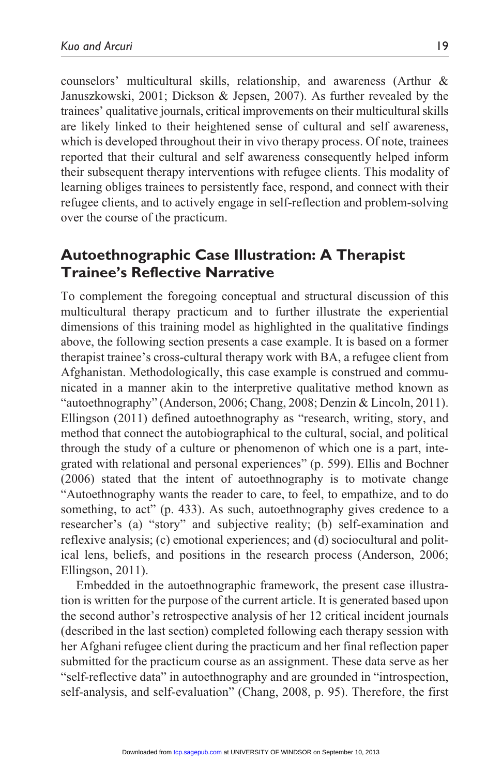over the course of the practicum.

counselors' multicultural skills, relationship, and awareness (Arthur & Januszkowski, 2001; Dickson & Jepsen, 2007). As further revealed by the trainees' qualitative journals, critical improvements on their multicultural skills are likely linked to their heightened sense of cultural and self awareness, which is developed throughout their in vivo therapy process. Of note, trainees reported that their cultural and self awareness consequently helped inform their subsequent therapy interventions with refugee clients. This modality of learning obliges trainees to persistently face, respond, and connect with their

refugee clients, and to actively engage in self-reflection and problem-solving

## **Autoethnographic Case Illustration: A Therapist Trainee's Reflective Narrative**

To complement the foregoing conceptual and structural discussion of this multicultural therapy practicum and to further illustrate the experiential dimensions of this training model as highlighted in the qualitative findings above, the following section presents a case example. It is based on a former therapist trainee's cross-cultural therapy work with BA, a refugee client from Afghanistan. Methodologically, this case example is construed and communicated in a manner akin to the interpretive qualitative method known as "autoethnography" (Anderson, 2006; Chang, 2008; Denzin & Lincoln, 2011). Ellingson (2011) defined autoethnography as "research, writing, story, and method that connect the autobiographical to the cultural, social, and political through the study of a culture or phenomenon of which one is a part, integrated with relational and personal experiences" (p. 599). Ellis and Bochner (2006) stated that the intent of autoethnography is to motivate change "Autoethnography wants the reader to care, to feel, to empathize, and to do something, to act" (p. 433). As such, autoethnography gives credence to a researcher's (a) "story" and subjective reality; (b) self-examination and reflexive analysis; (c) emotional experiences; and (d) sociocultural and political lens, beliefs, and positions in the research process (Anderson, 2006; Ellingson, 2011).

Embedded in the autoethnographic framework, the present case illustration is written for the purpose of the current article. It is generated based upon the second author's retrospective analysis of her 12 critical incident journals (described in the last section) completed following each therapy session with her Afghani refugee client during the practicum and her final reflection paper submitted for the practicum course as an assignment. These data serve as her "self-reflective data" in autoethnography and are grounded in "introspection, self-analysis, and self-evaluation" (Chang, 2008, p. 95). Therefore, the first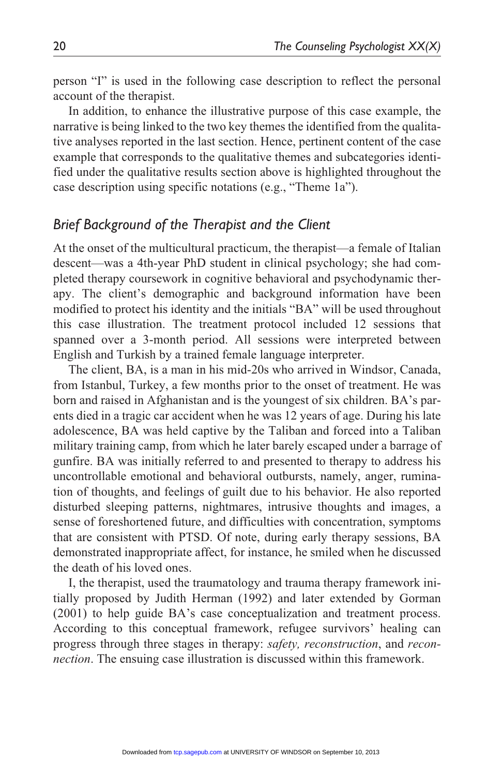person "I" is used in the following case description to reflect the personal account of the therapist.

In addition, to enhance the illustrative purpose of this case example, the narrative is being linked to the two key themes the identified from the qualitative analyses reported in the last section. Hence, pertinent content of the case example that corresponds to the qualitative themes and subcategories identified under the qualitative results section above is highlighted throughout the case description using specific notations (e.g., "Theme 1a").

## *Brief Background of the Therapist and the Client*

At the onset of the multicultural practicum, the therapist—a female of Italian descent—was a 4th-year PhD student in clinical psychology; she had completed therapy coursework in cognitive behavioral and psychodynamic therapy. The client's demographic and background information have been modified to protect his identity and the initials "BA" will be used throughout this case illustration. The treatment protocol included 12 sessions that spanned over a 3-month period. All sessions were interpreted between English and Turkish by a trained female language interpreter.

The client, BA, is a man in his mid-20s who arrived in Windsor, Canada, from Istanbul, Turkey, a few months prior to the onset of treatment. He was born and raised in Afghanistan and is the youngest of six children. BA's parents died in a tragic car accident when he was 12 years of age. During his late adolescence, BA was held captive by the Taliban and forced into a Taliban military training camp, from which he later barely escaped under a barrage of gunfire. BA was initially referred to and presented to therapy to address his uncontrollable emotional and behavioral outbursts, namely, anger, rumination of thoughts, and feelings of guilt due to his behavior. He also reported disturbed sleeping patterns, nightmares, intrusive thoughts and images, a sense of foreshortened future, and difficulties with concentration, symptoms that are consistent with PTSD. Of note, during early therapy sessions, BA demonstrated inappropriate affect, for instance, he smiled when he discussed the death of his loved ones.

I, the therapist, used the traumatology and trauma therapy framework initially proposed by Judith Herman (1992) and later extended by Gorman (2001) to help guide BA's case conceptualization and treatment process. According to this conceptual framework, refugee survivors' healing can progress through three stages in therapy: *safety, reconstruction*, and *reconnection*. The ensuing case illustration is discussed within this framework.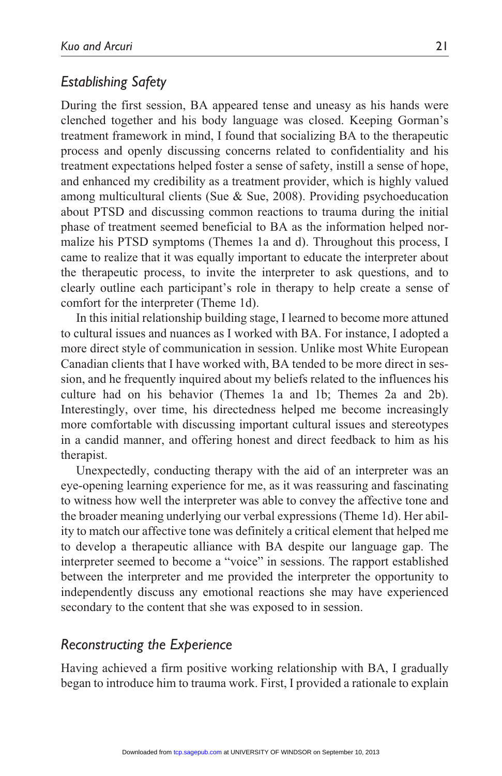## *Establishing Safety*

During the first session, BA appeared tense and uneasy as his hands were clenched together and his body language was closed. Keeping Gorman's treatment framework in mind, I found that socializing BA to the therapeutic process and openly discussing concerns related to confidentiality and his treatment expectations helped foster a sense of safety, instill a sense of hope, and enhanced my credibility as a treatment provider, which is highly valued among multicultural clients (Sue & Sue, 2008). Providing psychoeducation about PTSD and discussing common reactions to trauma during the initial phase of treatment seemed beneficial to BA as the information helped normalize his PTSD symptoms (Themes 1a and d). Throughout this process, I came to realize that it was equally important to educate the interpreter about the therapeutic process, to invite the interpreter to ask questions, and to clearly outline each participant's role in therapy to help create a sense of comfort for the interpreter (Theme 1d).

In this initial relationship building stage, I learned to become more attuned to cultural issues and nuances as I worked with BA. For instance, I adopted a more direct style of communication in session. Unlike most White European Canadian clients that I have worked with, BA tended to be more direct in session, and he frequently inquired about my beliefs related to the influences his culture had on his behavior (Themes 1a and 1b; Themes 2a and 2b). Interestingly, over time, his directedness helped me become increasingly more comfortable with discussing important cultural issues and stereotypes in a candid manner, and offering honest and direct feedback to him as his therapist.

Unexpectedly, conducting therapy with the aid of an interpreter was an eye-opening learning experience for me, as it was reassuring and fascinating to witness how well the interpreter was able to convey the affective tone and the broader meaning underlying our verbal expressions (Theme 1d). Her ability to match our affective tone was definitely a critical element that helped me to develop a therapeutic alliance with BA despite our language gap. The interpreter seemed to become a "voice" in sessions. The rapport established between the interpreter and me provided the interpreter the opportunity to independently discuss any emotional reactions she may have experienced secondary to the content that she was exposed to in session.

### *Reconstructing the Experience*

Having achieved a firm positive working relationship with BA, I gradually began to introduce him to trauma work. First, I provided a rationale to explain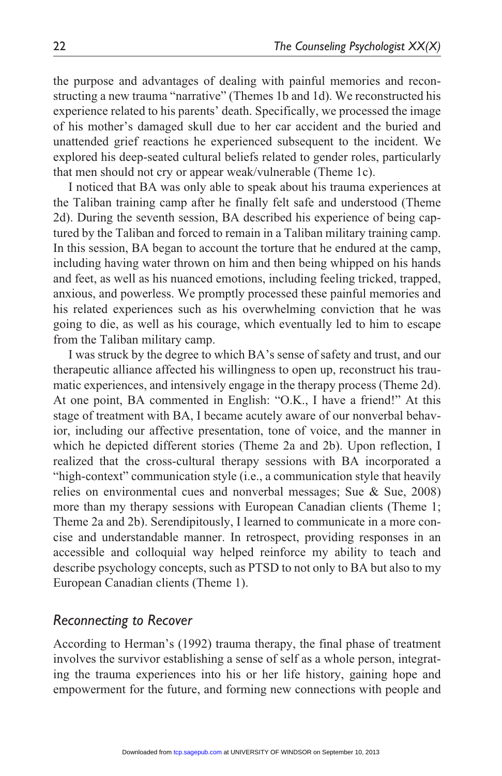the purpose and advantages of dealing with painful memories and reconstructing a new trauma "narrative" (Themes 1b and 1d). We reconstructed his experience related to his parents' death. Specifically, we processed the image of his mother's damaged skull due to her car accident and the buried and unattended grief reactions he experienced subsequent to the incident. We explored his deep-seated cultural beliefs related to gender roles, particularly that men should not cry or appear weak/vulnerable (Theme 1c).

I noticed that BA was only able to speak about his trauma experiences at the Taliban training camp after he finally felt safe and understood (Theme 2d). During the seventh session, BA described his experience of being captured by the Taliban and forced to remain in a Taliban military training camp. In this session, BA began to account the torture that he endured at the camp, including having water thrown on him and then being whipped on his hands and feet, as well as his nuanced emotions, including feeling tricked, trapped, anxious, and powerless. We promptly processed these painful memories and his related experiences such as his overwhelming conviction that he was going to die, as well as his courage, which eventually led to him to escape from the Taliban military camp.

I was struck by the degree to which BA's sense of safety and trust, and our therapeutic alliance affected his willingness to open up, reconstruct his traumatic experiences, and intensively engage in the therapy process (Theme 2d). At one point, BA commented in English: "O.K., I have a friend!" At this stage of treatment with BA, I became acutely aware of our nonverbal behavior, including our affective presentation, tone of voice, and the manner in which he depicted different stories (Theme 2a and 2b). Upon reflection, I realized that the cross-cultural therapy sessions with BA incorporated a "high-context" communication style (i.e., a communication style that heavily relies on environmental cues and nonverbal messages; Sue & Sue, 2008) more than my therapy sessions with European Canadian clients (Theme 1; Theme 2a and 2b). Serendipitously, I learned to communicate in a more concise and understandable manner. In retrospect, providing responses in an accessible and colloquial way helped reinforce my ability to teach and describe psychology concepts, such as PTSD to not only to BA but also to my European Canadian clients (Theme 1).

#### *Reconnecting to Recover*

According to Herman's (1992) trauma therapy, the final phase of treatment involves the survivor establishing a sense of self as a whole person, integrating the trauma experiences into his or her life history, gaining hope and empowerment for the future, and forming new connections with people and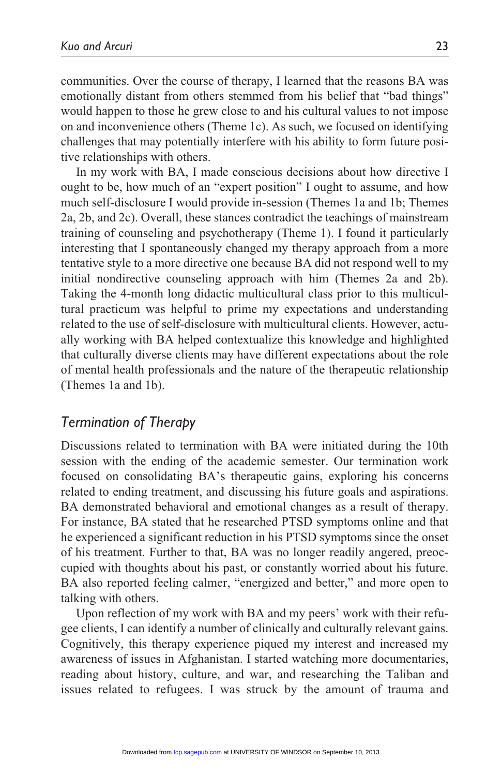communities. Over the course of therapy, I learned that the reasons BA was emotionally distant from others stemmed from his belief that "bad things" would happen to those he grew close to and his cultural values to not impose on and inconvenience others (Theme 1c). As such, we focused on identifying challenges that may potentially interfere with his ability to form future positive relationships with others.

In my work with BA, I made conscious decisions about how directive I ought to be, how much of an "expert position" I ought to assume, and how much self-disclosure I would provide in-session (Themes 1a and 1b; Themes 2a, 2b, and 2c). Overall, these stances contradict the teachings of mainstream training of counseling and psychotherapy (Theme 1). I found it particularly interesting that I spontaneously changed my therapy approach from a more tentative style to a more directive one because BA did not respond well to my initial nondirective counseling approach with him (Themes 2a and 2b). Taking the 4-month long didactic multicultural class prior to this multicultural practicum was helpful to prime my expectations and understanding related to the use of self-disclosure with multicultural clients. However, actually working with BA helped contextualize this knowledge and highlighted that culturally diverse clients may have different expectations about the role of mental health professionals and the nature of the therapeutic relationship (Themes 1a and 1b).

## *Termination of Therapy*

Discussions related to termination with BA were initiated during the 10th session with the ending of the academic semester. Our termination work focused on consolidating BA's therapeutic gains, exploring his concerns related to ending treatment, and discussing his future goals and aspirations. BA demonstrated behavioral and emotional changes as a result of therapy. For instance, BA stated that he researched PTSD symptoms online and that he experienced a significant reduction in his PTSD symptoms since the onset of his treatment. Further to that, BA was no longer readily angered, preoccupied with thoughts about his past, or constantly worried about his future. BA also reported feeling calmer, "energized and better," and more open to talking with others.

Upon reflection of my work with BA and my peers' work with their refugee clients, I can identify a number of clinically and culturally relevant gains. Cognitively, this therapy experience piqued my interest and increased my awareness of issues in Afghanistan. I started watching more documentaries, reading about history, culture, and war, and researching the Taliban and issues related to refugees. I was struck by the amount of trauma and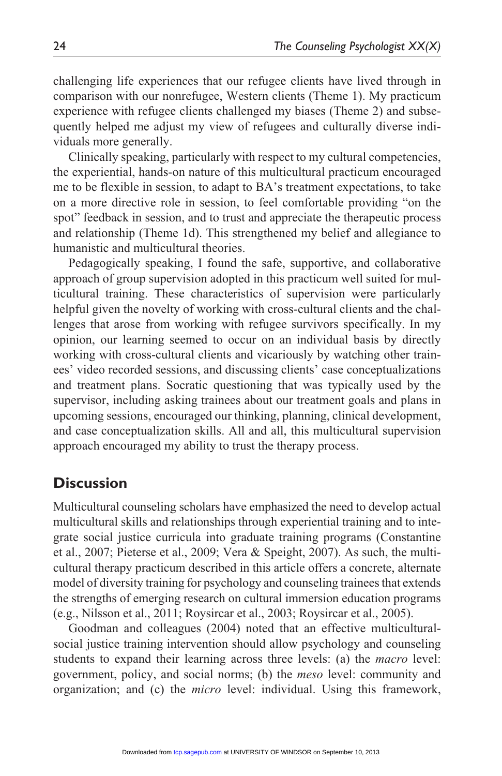challenging life experiences that our refugee clients have lived through in comparison with our nonrefugee, Western clients (Theme 1). My practicum experience with refugee clients challenged my biases (Theme 2) and subsequently helped me adjust my view of refugees and culturally diverse individuals more generally.

Clinically speaking, particularly with respect to my cultural competencies, the experiential, hands-on nature of this multicultural practicum encouraged me to be flexible in session, to adapt to BA's treatment expectations, to take on a more directive role in session, to feel comfortable providing "on the spot" feedback in session, and to trust and appreciate the therapeutic process and relationship (Theme 1d). This strengthened my belief and allegiance to humanistic and multicultural theories.

Pedagogically speaking, I found the safe, supportive, and collaborative approach of group supervision adopted in this practicum well suited for multicultural training. These characteristics of supervision were particularly helpful given the novelty of working with cross-cultural clients and the challenges that arose from working with refugee survivors specifically. In my opinion, our learning seemed to occur on an individual basis by directly working with cross-cultural clients and vicariously by watching other trainees' video recorded sessions, and discussing clients' case conceptualizations and treatment plans. Socratic questioning that was typically used by the supervisor, including asking trainees about our treatment goals and plans in upcoming sessions, encouraged our thinking, planning, clinical development, and case conceptualization skills. All and all, this multicultural supervision approach encouraged my ability to trust the therapy process.

## **Discussion**

Multicultural counseling scholars have emphasized the need to develop actual multicultural skills and relationships through experiential training and to integrate social justice curricula into graduate training programs (Constantine et al., 2007; Pieterse et al., 2009; Vera & Speight, 2007). As such, the multicultural therapy practicum described in this article offers a concrete, alternate model of diversity training for psychology and counseling trainees that extends the strengths of emerging research on cultural immersion education programs (e.g., Nilsson et al., 2011; Roysircar et al., 2003; Roysircar et al., 2005).

Goodman and colleagues (2004) noted that an effective multiculturalsocial justice training intervention should allow psychology and counseling students to expand their learning across three levels: (a) the *macro* level: government, policy, and social norms; (b) the *meso* level: community and organization; and (c) the *micro* level: individual. Using this framework,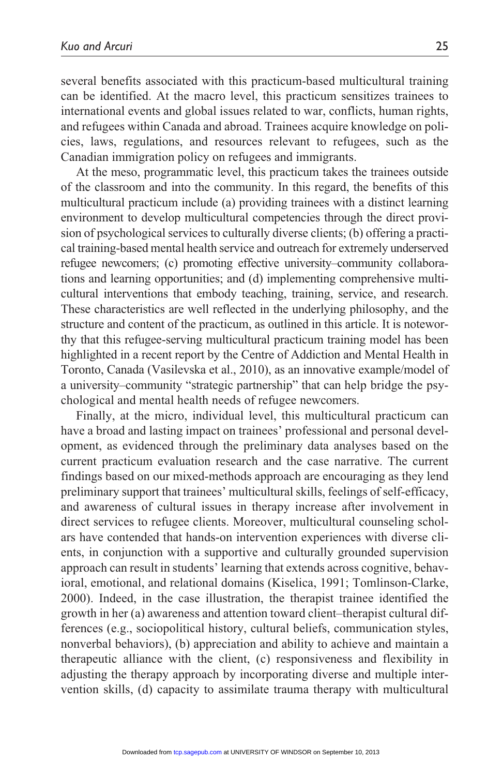several benefits associated with this practicum-based multicultural training can be identified. At the macro level, this practicum sensitizes trainees to international events and global issues related to war, conflicts, human rights, and refugees within Canada and abroad. Trainees acquire knowledge on policies, laws, regulations, and resources relevant to refugees, such as the Canadian immigration policy on refugees and immigrants.

At the meso, programmatic level, this practicum takes the trainees outside of the classroom and into the community. In this regard, the benefits of this multicultural practicum include (a) providing trainees with a distinct learning environment to develop multicultural competencies through the direct provision of psychological services to culturally diverse clients; (b) offering a practical training-based mental health service and outreach for extremely underserved refugee newcomers; (c) promoting effective university–community collaborations and learning opportunities; and (d) implementing comprehensive multicultural interventions that embody teaching, training, service, and research. These characteristics are well reflected in the underlying philosophy, and the structure and content of the practicum, as outlined in this article. It is noteworthy that this refugee-serving multicultural practicum training model has been highlighted in a recent report by the Centre of Addiction and Mental Health in Toronto, Canada (Vasilevska et al., 2010), as an innovative example/model of a university–community "strategic partnership" that can help bridge the psychological and mental health needs of refugee newcomers.

Finally, at the micro, individual level, this multicultural practicum can have a broad and lasting impact on trainees' professional and personal development, as evidenced through the preliminary data analyses based on the current practicum evaluation research and the case narrative. The current findings based on our mixed-methods approach are encouraging as they lend preliminary support that trainees' multicultural skills, feelings of self-efficacy, and awareness of cultural issues in therapy increase after involvement in direct services to refugee clients. Moreover, multicultural counseling scholars have contended that hands-on intervention experiences with diverse clients, in conjunction with a supportive and culturally grounded supervision approach can result in students' learning that extends across cognitive, behavioral, emotional, and relational domains (Kiselica, 1991; Tomlinson-Clarke, 2000). Indeed, in the case illustration, the therapist trainee identified the growth in her (a) awareness and attention toward client–therapist cultural differences (e.g., sociopolitical history, cultural beliefs, communication styles, nonverbal behaviors), (b) appreciation and ability to achieve and maintain a therapeutic alliance with the client, (c) responsiveness and flexibility in adjusting the therapy approach by incorporating diverse and multiple intervention skills, (d) capacity to assimilate trauma therapy with multicultural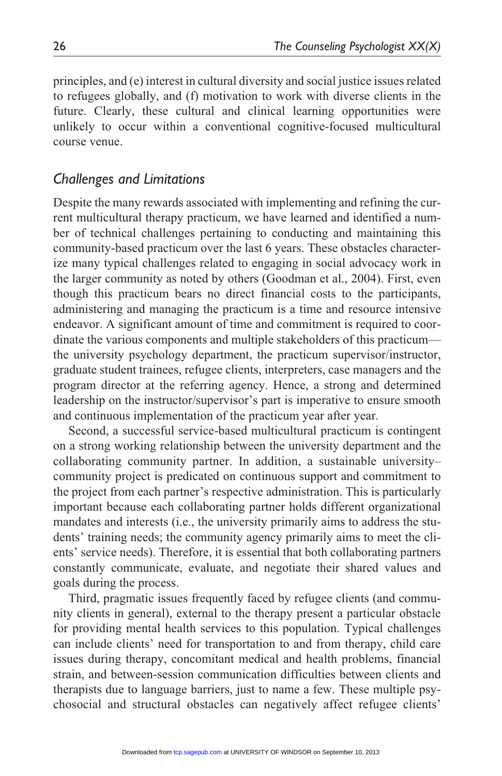principles, and (e) interest in cultural diversity and social justice issues related to refugees globally, and (f) motivation to work with diverse clients in the future. Clearly, these cultural and clinical learning opportunities were unlikely to occur within a conventional cognitive-focused multicultural course venue.

### *Challenges and Limitations*

Despite the many rewards associated with implementing and refining the current multicultural therapy practicum, we have learned and identified a number of technical challenges pertaining to conducting and maintaining this community-based practicum over the last 6 years. These obstacles characterize many typical challenges related to engaging in social advocacy work in the larger community as noted by others (Goodman et al., 2004). First, even though this practicum bears no direct financial costs to the participants, administering and managing the practicum is a time and resource intensive endeavor. A significant amount of time and commitment is required to coordinate the various components and multiple stakeholders of this practicum the university psychology department, the practicum supervisor/instructor, graduate student trainees, refugee clients, interpreters, case managers and the program director at the referring agency. Hence, a strong and determined leadership on the instructor/supervisor's part is imperative to ensure smooth and continuous implementation of the practicum year after year.

Second, a successful service-based multicultural practicum is contingent on a strong working relationship between the university department and the collaborating community partner. In addition, a sustainable university– community project is predicated on continuous support and commitment to the project from each partner's respective administration. This is particularly important because each collaborating partner holds different organizational mandates and interests (i.e., the university primarily aims to address the students' training needs; the community agency primarily aims to meet the clients' service needs). Therefore, it is essential that both collaborating partners constantly communicate, evaluate, and negotiate their shared values and goals during the process.

Third, pragmatic issues frequently faced by refugee clients (and community clients in general), external to the therapy present a particular obstacle for providing mental health services to this population. Typical challenges can include clients' need for transportation to and from therapy, child care issues during therapy, concomitant medical and health problems, financial strain, and between-session communication difficulties between clients and therapists due to language barriers, just to name a few. These multiple psychosocial and structural obstacles can negatively affect refugee clients'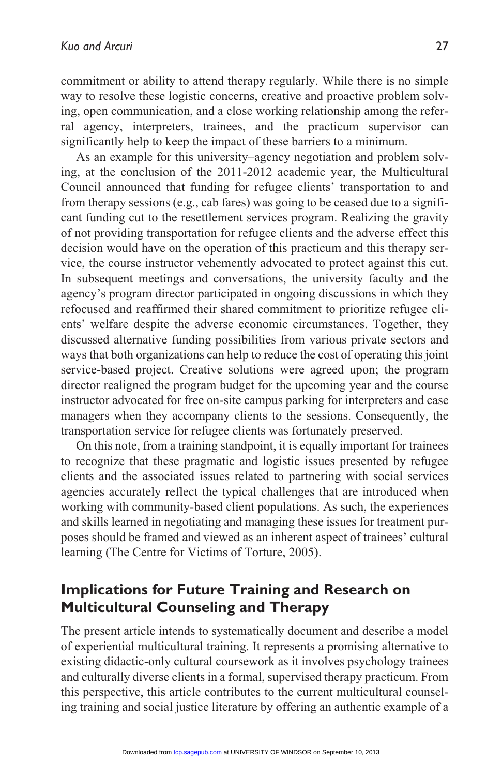commitment or ability to attend therapy regularly. While there is no simple way to resolve these logistic concerns, creative and proactive problem solving, open communication, and a close working relationship among the referral agency, interpreters, trainees, and the practicum supervisor can significantly help to keep the impact of these barriers to a minimum.

As an example for this university–agency negotiation and problem solving, at the conclusion of the 2011-2012 academic year, the Multicultural Council announced that funding for refugee clients' transportation to and from therapy sessions (e.g., cab fares) was going to be ceased due to a significant funding cut to the resettlement services program. Realizing the gravity of not providing transportation for refugee clients and the adverse effect this decision would have on the operation of this practicum and this therapy service, the course instructor vehemently advocated to protect against this cut. In subsequent meetings and conversations, the university faculty and the agency's program director participated in ongoing discussions in which they refocused and reaffirmed their shared commitment to prioritize refugee clients' welfare despite the adverse economic circumstances. Together, they discussed alternative funding possibilities from various private sectors and ways that both organizations can help to reduce the cost of operating this joint service-based project. Creative solutions were agreed upon; the program director realigned the program budget for the upcoming year and the course instructor advocated for free on-site campus parking for interpreters and case managers when they accompany clients to the sessions. Consequently, the transportation service for refugee clients was fortunately preserved.

On this note, from a training standpoint, it is equally important for trainees to recognize that these pragmatic and logistic issues presented by refugee clients and the associated issues related to partnering with social services agencies accurately reflect the typical challenges that are introduced when working with community-based client populations. As such, the experiences and skills learned in negotiating and managing these issues for treatment purposes should be framed and viewed as an inherent aspect of trainees' cultural learning (The Centre for Victims of Torture, 2005).

## **Implications for Future Training and Research on Multicultural Counseling and Therapy**

The present article intends to systematically document and describe a model of experiential multicultural training. It represents a promising alternative to existing didactic-only cultural coursework as it involves psychology trainees and culturally diverse clients in a formal, supervised therapy practicum. From this perspective, this article contributes to the current multicultural counseling training and social justice literature by offering an authentic example of a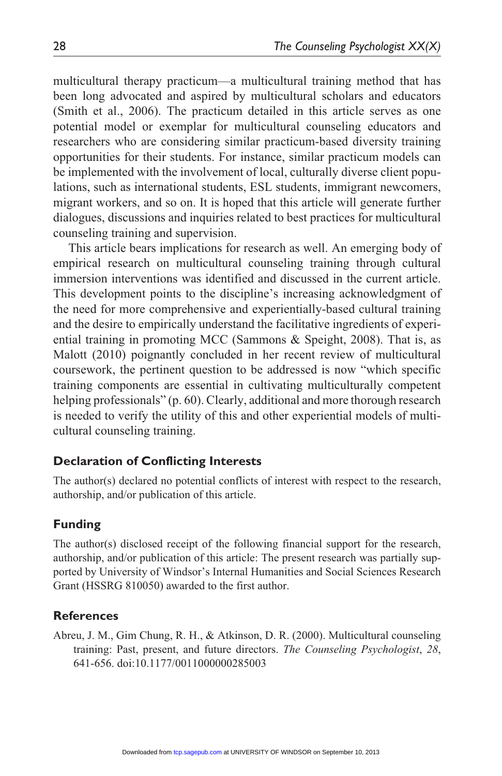multicultural therapy practicum—a multicultural training method that has been long advocated and aspired by multicultural scholars and educators (Smith et al., 2006). The practicum detailed in this article serves as one potential model or exemplar for multicultural counseling educators and researchers who are considering similar practicum-based diversity training opportunities for their students. For instance, similar practicum models can be implemented with the involvement of local, culturally diverse client populations, such as international students, ESL students, immigrant newcomers, migrant workers, and so on. It is hoped that this article will generate further dialogues, discussions and inquiries related to best practices for multicultural counseling training and supervision.

This article bears implications for research as well. An emerging body of empirical research on multicultural counseling training through cultural immersion interventions was identified and discussed in the current article. This development points to the discipline's increasing acknowledgment of the need for more comprehensive and experientially-based cultural training and the desire to empirically understand the facilitative ingredients of experiential training in promoting MCC (Sammons & Speight, 2008). That is, as Malott (2010) poignantly concluded in her recent review of multicultural coursework, the pertinent question to be addressed is now "which specific training components are essential in cultivating multiculturally competent helping professionals" (p. 60). Clearly, additional and more thorough research is needed to verify the utility of this and other experiential models of multicultural counseling training.

#### **Declaration of Conflicting Interests**

The author(s) declared no potential conflicts of interest with respect to the research, authorship, and/or publication of this article.

#### **Funding**

The author(s) disclosed receipt of the following financial support for the research, authorship, and/or publication of this article: The present research was partially supported by University of Windsor's Internal Humanities and Social Sciences Research Grant (HSSRG 810050) awarded to the first author.

#### **References**

Abreu, J. M., Gim Chung, R. H., & Atkinson, D. R. (2000). Multicultural counseling training: Past, present, and future directors. *The Counseling Psychologist*, *28*, 641-656. doi:10.1177/0011000000285003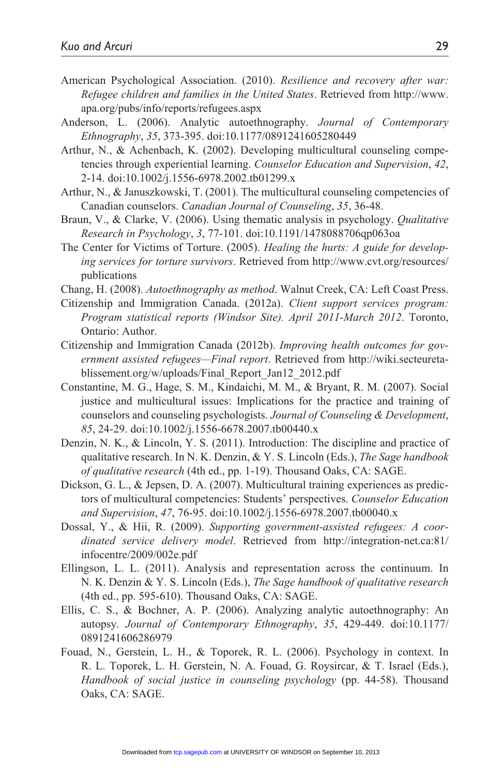- American Psychological Association. (2010). *Resilience and recovery after war: Refugee children and families in the United States*. Retrieved from http://www. apa.org/pubs/info/reports/refugees.aspx
- Anderson, L. (2006). Analytic autoethnography. *Journal of Contemporary Ethnography*, *35*, 373-395. doi:10.1177/0891241605280449
- Arthur, N., & Achenbach, K. (2002). Developing multicultural counseling competencies through experiential learning. *Counselor Education and Supervision*, *42*, 2-14. doi:10.1002/j.1556-6978.2002.tb01299.x
- Arthur, N., & Januszkowski, T. (2001). The multicultural counseling competencies of Canadian counselors. *Canadian Journal of Counseling*, *35*, 36-48.
- Braun, V., & Clarke, V. (2006). Using thematic analysis in psychology. *Qualitative Research in Psychology*, *3*, 77-101. doi:10.1191/1478088706qp063oa
- The Center for Victims of Torture. (2005). *Healing the hurts: A guide for developing services for torture survivors*. Retrieved from http://www.cvt.org/resources/ publications
- Chang, H. (2008). *Autoethnography as method*. Walnut Creek, CA: Left Coast Press.
- Citizenship and Immigration Canada. (2012a). *Client support services program: Program statistical reports (Windsor Site). April 2011-March 2012*. Toronto, Ontario: Author.
- Citizenship and Immigration Canada (2012b). *Improving health outcomes for government assisted refugees—Final report*. Retrieved from http://wiki.secteuretablissement.org/w/uploads/Final\_Report\_Jan12\_2012.pdf
- Constantine, M. G., Hage, S. M., Kindaichi, M. M., & Bryant, R. M. (2007). Social justice and multicultural issues: Implications for the practice and training of counselors and counseling psychologists. *Journal of Counseling & Development*, *85*, 24-29. doi:10.1002/j.1556-6678.2007.tb00440.x
- Denzin, N. K., & Lincoln, Y. S. (2011). Introduction: The discipline and practice of qualitative research. In N. K. Denzin, & Y. S. Lincoln (Eds.), *The Sage handbook of qualitative research* (4th ed., pp. 1-19). Thousand Oaks, CA: SAGE.
- Dickson, G. L., & Jepsen, D. A. (2007). Multicultural training experiences as predictors of multicultural competencies: Students' perspectives. *Counselor Education and Supervision*, *47*, 76-95. doi:10.1002/j.1556-6978.2007.tb00040.x
- Dossal, Y., & Hii, R. (2009). *Supporting government-assisted refugees: A coordinated service delivery model*. Retrieved from http://integration-net.ca:81/ infocentre/2009/002e.pdf
- Ellingson, L. L. (2011). Analysis and representation across the continuum. In N. K. Denzin & Y. S. Lincoln (Eds.), *The Sage handbook of qualitative research* (4th ed., pp. 595-610). Thousand Oaks, CA: SAGE.
- Ellis, C. S., & Bochner, A. P. (2006). Analyzing analytic autoethnography: An autopsy. *Journal of Contemporary Ethnography*, *35*, 429-449. doi:10.1177/ 0891241606286979
- Fouad, N., Gerstein, L. H., & Toporek, R. L. (2006). Psychology in context. In R. L. Toporek, L. H. Gerstein, N. A. Fouad, G. Roysircar, & T. Israel (Eds.), *Handbook of social justice in counseling psychology* (pp. 44-58). Thousand Oaks, CA: SAGE.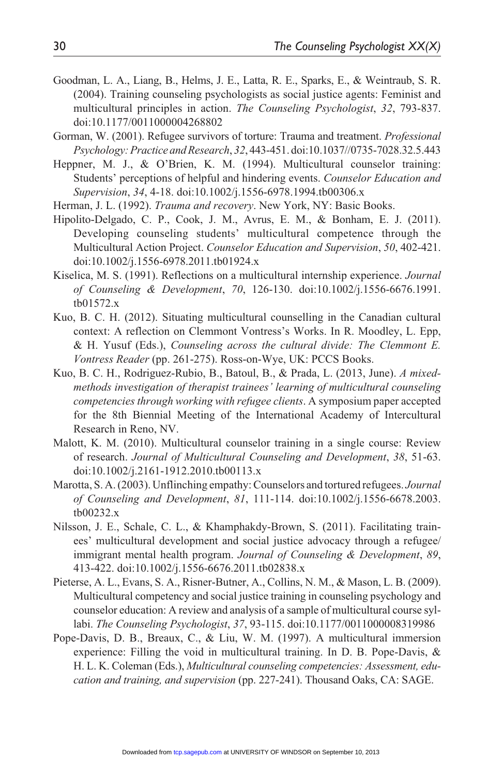- Goodman, L. A., Liang, B., Helms, J. E., Latta, R. E., Sparks, E., & Weintraub, S. R. (2004). Training counseling psychologists as social justice agents: Feminist and multicultural principles in action. *The Counseling Psychologist*, *32*, 793-837. doi:10.1177/0011000004268802
- Gorman, W. (2001). Refugee survivors of torture: Trauma and treatment. *Professional Psychology: Practice and Research*, *32*, 443-451. doi:10.1037//0735-7028.32.5.443
- Heppner, M. J., & O'Brien, K. M. (1994). Multicultural counselor training: Students' perceptions of helpful and hindering events. *Counselor Education and Supervision*, *34*, 4-18. doi:10.1002/j.1556-6978.1994.tb00306.x
- Herman, J. L. (1992). *Trauma and recovery*. New York, NY: Basic Books.
- Hipolito-Delgado, C. P., Cook, J. M., Avrus, E. M., & Bonham, E. J. (2011). Developing counseling students' multicultural competence through the Multicultural Action Project. *Counselor Education and Supervision*, *50*, 402-421. doi:10.1002/j.1556-6978.2011.tb01924.x
- Kiselica, M. S. (1991). Reflections on a multicultural internship experience. *Journal of Counseling & Development*, *70*, 126-130. doi:10.1002/j.1556-6676.1991. tb01572.x
- Kuo, B. C. H. (2012). Situating multicultural counselling in the Canadian cultural context: A reflection on Clemmont Vontress's Works. In R. Moodley, L. Epp, & H. Yusuf (Eds.), *Counseling across the cultural divide: The Clemmont E. Vontress Reader* (pp. 261-275). Ross-on-Wye, UK: PCCS Books.
- Kuo, B. C. H., Rodriguez-Rubio, B., Batoul, B., & Prada, L. (2013, June). *A mixedmethods investigation of therapist trainees' learning of multicultural counseling competencies through working with refugee clients*. A symposium paper accepted for the 8th Biennial Meeting of the International Academy of Intercultural Research in Reno, NV.
- Malott, K. M. (2010). Multicultural counselor training in a single course: Review of research. *Journal of Multicultural Counseling and Development*, *38*, 51-63. doi:10.1002/j.2161-1912.2010.tb00113.x
- Marotta, S. A. (2003). Unflinching empathy: Counselors and tortured refugees. *Journal of Counseling and Development*, *81*, 111-114. doi:10.1002/j.1556-6678.2003. tb00232.x
- Nilsson, J. E., Schale, C. L., & Khamphakdy-Brown, S. (2011). Facilitating trainees' multicultural development and social justice advocacy through a refugee/ immigrant mental health program. *Journal of Counseling & Development*, *89*, 413-422. doi:10.1002/j.1556-6676.2011.tb02838.x
- Pieterse, A. L., Evans, S. A., Risner-Butner, A., Collins, N. M., & Mason, L. B. (2009). Multicultural competency and social justice training in counseling psychology and counselor education: A review and analysis of a sample of multicultural course syllabi. *The Counseling Psychologist*, *37*, 93-115. doi:10.1177/0011000008319986
- Pope-Davis, D. B., Breaux, C., & Liu, W. M. (1997). A multicultural immersion experience: Filling the void in multicultural training. In D. B. Pope-Davis, & H. L. K. Coleman (Eds.), *Multicultural counseling competencies: Assessment, education and training, and supervision* (pp. 227-241). Thousand Oaks, CA: SAGE.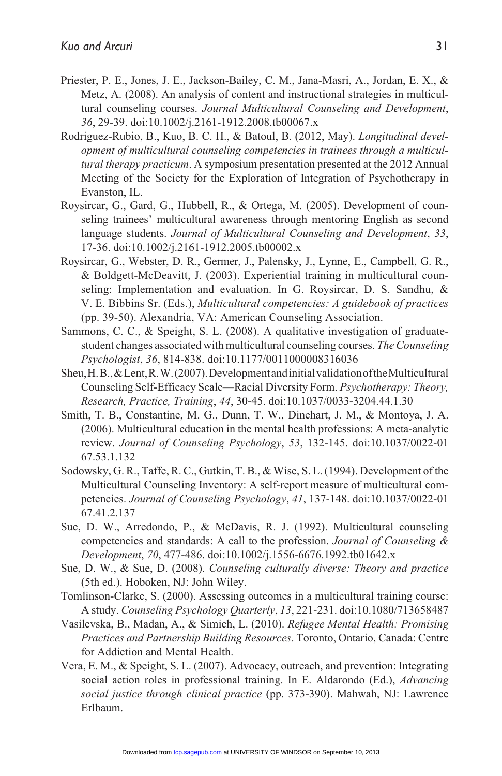- Priester, P. E., Jones, J. E., Jackson-Bailey, C. M., Jana-Masri, A., Jordan, E. X., & Metz, A. (2008). An analysis of content and instructional strategies in multicultural counseling courses. *Journal Multicultural Counseling and Development*, *36*, 29-39. doi:10.1002/j.2161-1912.2008.tb00067.x
- Rodriguez-Rubio, B., Kuo, B. C. H., & Batoul, B. (2012, May). *Longitudinal development of multicultural counseling competencies in trainees through a multicultural therapy practicum*. A symposium presentation presented at the 2012 Annual Meeting of the Society for the Exploration of Integration of Psychotherapy in Evanston, IL.
- Roysircar, G., Gard, G., Hubbell, R., & Ortega, M. (2005). Development of counseling trainees' multicultural awareness through mentoring English as second language students. *Journal of Multicultural Counseling and Development*, *33*, 17-36. doi:10.1002/j.2161-1912.2005.tb00002.x
- Roysircar, G., Webster, D. R., Germer, J., Palensky, J., Lynne, E., Campbell, G. R., & Boldgett-McDeavitt, J. (2003). Experiential training in multicultural counseling: Implementation and evaluation. In G. Roysircar, D. S. Sandhu, & V. E. Bibbins Sr. (Eds.), *Multicultural competencies: A guidebook of practices* (pp. 39-50). Alexandria, VA: American Counseling Association.
- Sammons, C. C., & Speight, S. L. (2008). A qualitative investigation of graduatestudent changes associated with multicultural counseling courses. *The Counseling Psychologist*, *36*, 814-838. doi:10.1177/0011000008316036
- Sheu, H. B., & Lent, R. W. (2007). Development and initial validation of the Multicultural Counseling Self-Efficacy Scale—Racial Diversity Form. *Psychotherapy: Theory, Research, Practice, Training*, *44*, 30-45. doi:10.1037/0033-3204.44.1.30
- Smith, T. B., Constantine, M. G., Dunn, T. W., Dinehart, J. M., & Montoya, J. A. (2006). Multicultural education in the mental health professions: A meta-analytic review. *Journal of Counseling Psychology*, *53*, 132-145. doi:10.1037/0022-01 67.53.1.132
- Sodowsky, G. R., Taffe, R. C., Gutkin, T. B., & Wise, S. L. (1994). Development of the Multicultural Counseling Inventory: A self-report measure of multicultural competencies. *Journal of Counseling Psychology*, *41*, 137-148. doi:10.1037/0022-01 67.41.2.137
- Sue, D. W., Arredondo, P., & McDavis, R. J. (1992). Multicultural counseling competencies and standards: A call to the profession. *Journal of Counseling & Development*, *70*, 477-486. doi:10.1002/j.1556-6676.1992.tb01642.x
- Sue, D. W., & Sue, D. (2008). *Counseling culturally diverse: Theory and practice* (5th ed.). Hoboken, NJ: John Wiley.
- Tomlinson-Clarke, S. (2000). Assessing outcomes in a multicultural training course: A study. *Counseling Psychology Quarterly*, *13*, 221-231. doi:10.1080/713658487
- Vasilevska, B., Madan, A., & Simich, L. (2010). *Refugee Mental Health: Promising Practices and Partnership Building Resources*. Toronto, Ontario, Canada: Centre for Addiction and Mental Health.
- Vera, E. M., & Speight, S. L. (2007). Advocacy, outreach, and prevention: Integrating social action roles in professional training. In E. Aldarondo (Ed.), *Advancing social justice through clinical practice* (pp. 373-390). Mahwah, NJ: Lawrence Erlbaum.